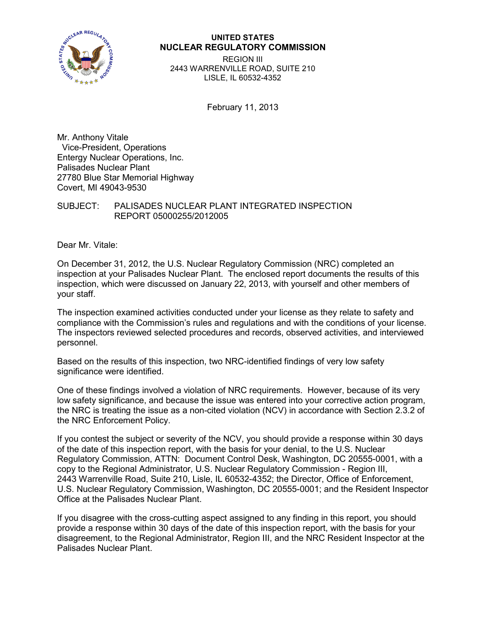

# **UNITED STATES NUCLEAR REGULATORY COMMISSION**

REGION III 2443 WARRENVILLE ROAD, SUITE 210 LISLE, IL 60532-4352

February 11, 2013

Mr. Anthony Vitale Vice-President, Operations Entergy Nuclear Operations, Inc. Palisades Nuclear Plant 27780 Blue Star Memorial Highway Covert, MI 49043-9530

SUBJECT: PALISADES NUCLEAR PLANT INTEGRATED INSPECTION REPORT 05000255/2012005

Dear Mr. Vitale:

On December 31, 2012, the U.S. Nuclear Regulatory Commission (NRC) completed an inspection at your Palisades Nuclear Plant. The enclosed report documents the results of this inspection, which were discussed on January 22, 2013, with yourself and other members of your staff.

The inspection examined activities conducted under your license as they relate to safety and compliance with the Commission's rules and regulations and with the conditions of your license. The inspectors reviewed selected procedures and records, observed activities, and interviewed personnel.

Based on the results of this inspection, two NRC-identified findings of very low safety significance were identified.

One of these findings involved a violation of NRC requirements. However, because of its very low safety significance, and because the issue was entered into your corrective action program, the NRC is treating the issue as a non-cited violation (NCV) in accordance with Section 2.3.2 of the NRC Enforcement Policy.

If you contest the subject or severity of the NCV, you should provide a response within 30 days of the date of this inspection report, with the basis for your denial, to the U.S. Nuclear Regulatory Commission, ATTN: Document Control Desk, Washington, DC 20555-0001, with a copy to the Regional Administrator, U.S. Nuclear Regulatory Commission - Region III, 2443 Warrenville Road, Suite 210, Lisle, IL 60532-4352; the Director, Office of Enforcement, U.S. Nuclear Regulatory Commission, Washington, DC 20555-0001; and the Resident Inspector Office at the Palisades Nuclear Plant.

If you disagree with the cross-cutting aspect assigned to any finding in this report, you should provide a response within 30 days of the date of this inspection report, with the basis for your disagreement, to the Regional Administrator, Region III, and the NRC Resident Inspector at the Palisades Nuclear Plant.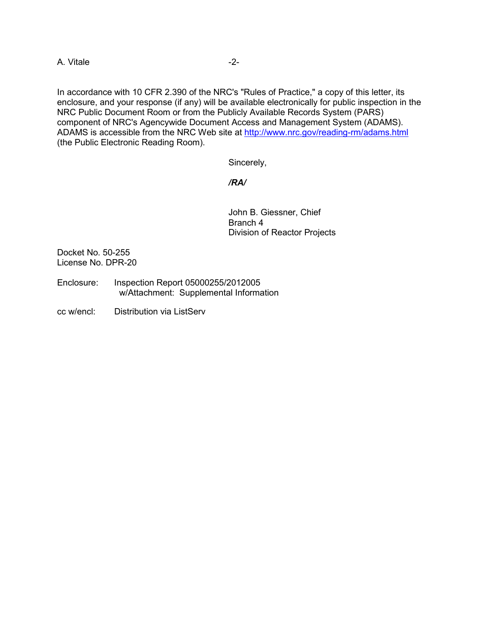A. Vitale  $-2$ -

In accordance with 10 CFR 2.390 of the NRC's "Rules of Practice," a copy of this letter, its enclosure, and your response (if any) will be available electronically for public inspection in the NRC Public Document Room or from the Publicly Available Records System (PARS) component of NRC's Agencywide Document Access and Management System (ADAMS). ADAMS is accessible from the NRC Web site at<http://www.nrc.gov/reading-rm/adams.html> (the Public Electronic Reading Room).

Sincerely,

### */RA/*

John B. Giessner, Chief Branch 4 Division of Reactor Projects

Docket No. 50-255 License No. DPR-20

- Enclosure: Inspection Report 05000255/2012005 w/Attachment: Supplemental Information
- cc w/encl: Distribution via ListServ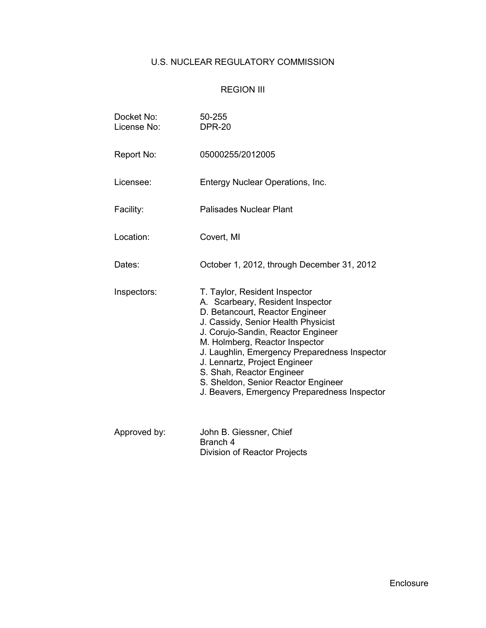# U.S. NUCLEAR REGULATORY COMMISSION

# REGION III

| Docket No:<br>License No: | 50-255<br><b>DPR-20</b>                                                                                                                                                                                                                                                                                                                                                                                                   |  |  |  |
|---------------------------|---------------------------------------------------------------------------------------------------------------------------------------------------------------------------------------------------------------------------------------------------------------------------------------------------------------------------------------------------------------------------------------------------------------------------|--|--|--|
| Report No:                | 05000255/2012005                                                                                                                                                                                                                                                                                                                                                                                                          |  |  |  |
| Licensee:                 | Entergy Nuclear Operations, Inc.                                                                                                                                                                                                                                                                                                                                                                                          |  |  |  |
| Facility:                 | <b>Palisades Nuclear Plant</b>                                                                                                                                                                                                                                                                                                                                                                                            |  |  |  |
| Location:                 | Covert, MI                                                                                                                                                                                                                                                                                                                                                                                                                |  |  |  |
| Dates:                    | October 1, 2012, through December 31, 2012                                                                                                                                                                                                                                                                                                                                                                                |  |  |  |
| Inspectors:               | T. Taylor, Resident Inspector<br>A. Scarbeary, Resident Inspector<br>D. Betancourt, Reactor Engineer<br>J. Cassidy, Senior Health Physicist<br>J. Corujo-Sandin, Reactor Engineer<br>M. Holmberg, Reactor Inspector<br>J. Laughlin, Emergency Preparedness Inspector<br>J. Lennartz, Project Engineer<br>S. Shah, Reactor Engineer<br>S. Sheldon, Senior Reactor Engineer<br>J. Beavers, Emergency Preparedness Inspector |  |  |  |
| Approved by:              | John B. Giessner, Chief<br>Branch 4<br>Division of Reactor Projects                                                                                                                                                                                                                                                                                                                                                       |  |  |  |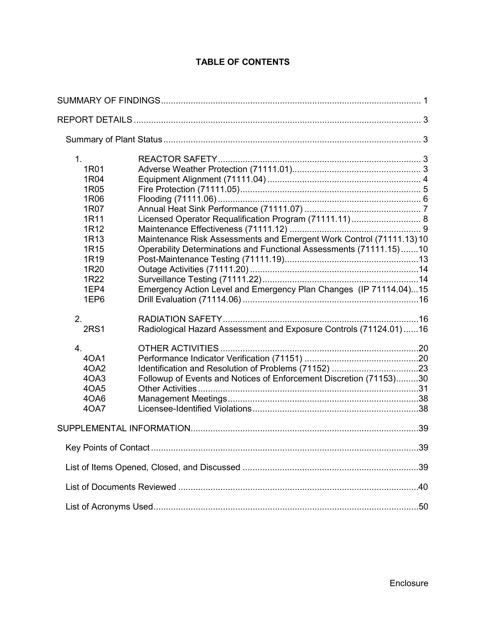# **TABLE OF CONTENTS**

| 1 <sub>1</sub><br>1R01<br>1R04<br>1R05<br>1R06<br>1R07<br>1R11<br>1R12<br>1R13<br>1R <sub>15</sub><br>1R19<br>1R20<br>1R22<br>1EP4<br>1EP6 | Maintenance Risk Assessments and Emergent Work Control (71111.13) 10<br>Operability Determinations and Functional Assessments (71111.15)10<br>Emergency Action Level and Emergency Plan Changes (IP 71114.04)15 |     |
|--------------------------------------------------------------------------------------------------------------------------------------------|-----------------------------------------------------------------------------------------------------------------------------------------------------------------------------------------------------------------|-----|
| 2.<br><b>2RS1</b>                                                                                                                          | Radiological Hazard Assessment and Exposure Controls (71124.01)16                                                                                                                                               |     |
| 4.<br>40A1<br>4OA2<br>4OA3<br>40A5<br>4OA6<br>40A7                                                                                         | Followup of Events and Notices of Enforcement Discretion (71153)30                                                                                                                                              |     |
|                                                                                                                                            |                                                                                                                                                                                                                 |     |
| Key Points of Contact.                                                                                                                     |                                                                                                                                                                                                                 | .39 |
|                                                                                                                                            |                                                                                                                                                                                                                 | .39 |
|                                                                                                                                            |                                                                                                                                                                                                                 | .40 |
|                                                                                                                                            |                                                                                                                                                                                                                 |     |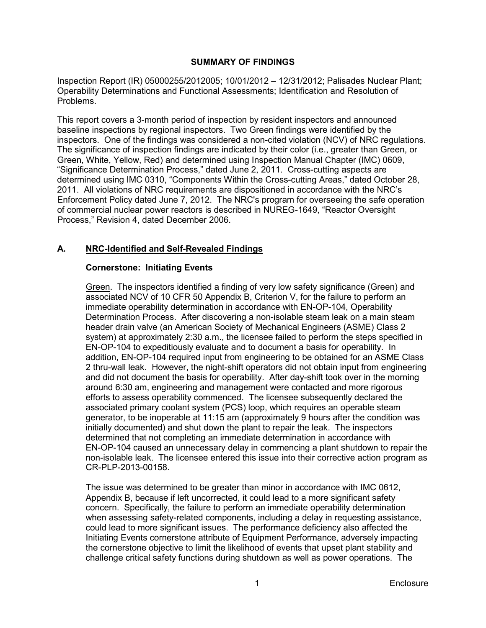# **SUMMARY OF FINDINGS**

<span id="page-4-0"></span>Inspection Report (IR) 05000255/2012005; 10/01/2012 – 12/31/2012; Palisades Nuclear Plant; Operability Determinations and Functional Assessments; Identification and Resolution of Problems.

This report covers a 3-month period of inspection by resident inspectors and announced baseline inspections by regional inspectors. Two Green findings were identified by the inspectors. One of the findings was considered a non-cited violation (NCV) of NRC regulations. The significance of inspection findings are indicated by their color (i.e., greater than Green, or Green, White, Yellow, Red) and determined using Inspection Manual Chapter (IMC) 0609, "Significance Determination Process," dated June 2, 2011. Cross-cutting aspects are determined using IMC 0310, "Components Within the Cross-cutting Areas," dated October 28, 2011. All violations of NRC requirements are dispositioned in accordance with the NRC's Enforcement Policy dated June 7, 2012. The NRC's program for overseeing the safe operation of commercial nuclear power reactors is described in NUREG-1649, "Reactor Oversight Process," Revision 4, dated December 2006.

#### **A. NRC-Identified and Self-Revealed Findings**

# **Cornerstone: Initiating Events**

Green. The inspectors identified a finding of very low safety significance (Green) and associated NCV of 10 CFR 50 Appendix B, Criterion V, for the failure to perform an immediate operability determination in accordance with EN-OP-104, Operability Determination Process. After discovering a non-isolable steam leak on a main steam header drain valve (an American Society of Mechanical Engineers (ASME) Class 2 system) at approximately 2:30 a.m., the licensee failed to perform the steps specified in EN-OP-104 to expeditiously evaluate and to document a basis for operability. In addition, EN-OP-104 required input from engineering to be obtained for an ASME Class 2 thru-wall leak. However, the night-shift operators did not obtain input from engineering and did not document the basis for operability. After day-shift took over in the morning around 6:30 am, engineering and management were contacted and more rigorous efforts to assess operability commenced. The licensee subsequently declared the associated primary coolant system (PCS) loop, which requires an operable steam generator, to be inoperable at 11:15 am (approximately 9 hours after the condition was initially documented) and shut down the plant to repair the leak. The inspectors determined that not completing an immediate determination in accordance with EN-OP-104 caused an unnecessary delay in commencing a plant shutdown to repair the non-isolable leak. The licensee entered this issue into their corrective action program as CR-PLP-2013-00158.

The issue was determined to be greater than minor in accordance with IMC 0612, Appendix B, because if left uncorrected, it could lead to a more significant safety concern. Specifically, the failure to perform an immediate operability determination when assessing safety-related components, including a delay in requesting assistance, could lead to more significant issues. The performance deficiency also affected the Initiating Events cornerstone attribute of Equipment Performance, adversely impacting the cornerstone objective to limit the likelihood of events that upset plant stability and challenge critical safety functions during shutdown as well as power operations. The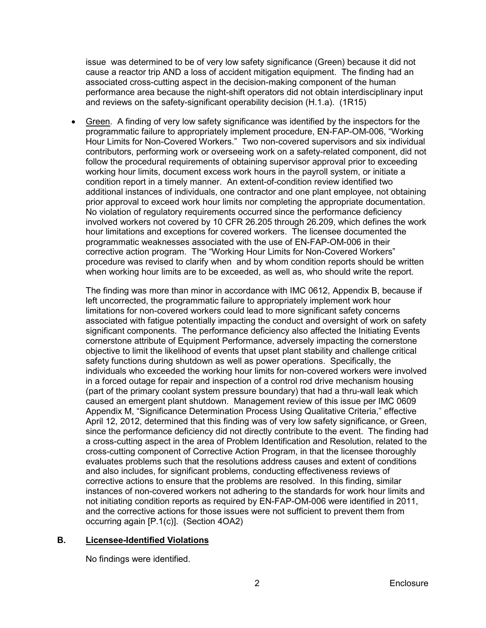issue was determined to be of very low safety significance (Green) because it did not cause a reactor trip AND a loss of accident mitigation equipment. The finding had an associated cross-cutting aspect in the decision-making component of the human performance area because the night-shift operators did not obtain interdisciplinary input and reviews on the safety-significant operability decision (H.1.a). (1R15)

• Green. A finding of very low safety significance was identified by the inspectors for the programmatic failure to appropriately implement procedure, EN-FAP-OM-006, "Working Hour Limits for Non-Covered Workers." Two non-covered supervisors and six individual contributors, performing work or overseeing work on a safety-related component, did not follow the procedural requirements of obtaining supervisor approval prior to exceeding working hour limits, document excess work hours in the payroll system, or initiate a condition report in a timely manner. An extent-of-condition review identified two additional instances of individuals, one contractor and one plant employee, not obtaining prior approval to exceed work hour limits nor completing the appropriate documentation. No violation of regulatory requirements occurred since the performance deficiency involved workers not covered by 10 CFR 26.205 through 26.209, which defines the work hour limitations and exceptions for covered workers. The licensee documented the programmatic weaknesses associated with the use of EN-FAP-OM-006 in their corrective action program. The "Working Hour Limits for Non-Covered Workers" procedure was revised to clarify when and by whom condition reports should be written when working hour limits are to be exceeded, as well as, who should write the report.

The finding was more than minor in accordance with IMC 0612, Appendix B, because if left uncorrected, the programmatic failure to appropriately implement work hour limitations for non-covered workers could lead to more significant safety concerns associated with fatigue potentially impacting the conduct and oversight of work on safety significant components. The performance deficiency also affected the Initiating Events cornerstone attribute of Equipment Performance, adversely impacting the cornerstone objective to limit the likelihood of events that upset plant stability and challenge critical safety functions during shutdown as well as power operations. Specifically, the individuals who exceeded the working hour limits for non-covered workers were involved in a forced outage for repair and inspection of a control rod drive mechanism housing (part of the primary coolant system pressure boundary) that had a thru-wall leak which caused an emergent plant shutdown. Management review of this issue per IMC 0609 Appendix M, "Significance Determination Process Using Qualitative Criteria," effective April 12, 2012, determined that this finding was of very low safety significance, or Green, since the performance deficiency did not directly contribute to the event. The finding had a cross-cutting aspect in the area of Problem Identification and Resolution, related to the cross-cutting component of Corrective Action Program, in that the licensee thoroughly evaluates problems such that the resolutions address causes and extent of conditions and also includes, for significant problems, conducting effectiveness reviews of corrective actions to ensure that the problems are resolved. In this finding, similar instances of non-covered workers not adhering to the standards for work hour limits and not initiating condition reports as required by EN-FAP-OM-006 were identified in 2011, and the corrective actions for those issues were not sufficient to prevent them from occurring again [P.1(c)]. (Section 4OA2)

#### **B. Licensee-Identified Violations**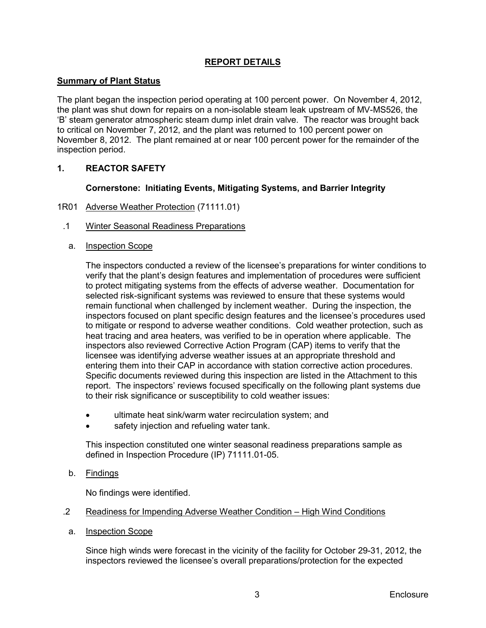# **REPORT DETAILS**

## <span id="page-6-1"></span><span id="page-6-0"></span>**Summary of Plant Status**

The plant began the inspection period operating at 100 percent power. On November 4, 2012, the plant was shut down for repairs on a non-isolable steam leak upstream of MV-MS526, the 'B' steam generator atmospheric steam dump inlet drain valve. The reactor was brought back to critical on November 7, 2012, and the plant was returned to 100 percent power on November 8, 2012. The plant remained at or near 100 percent power for the remainder of the inspection period.

### <span id="page-6-2"></span>**1. REACTOR SAFETY**

### **Cornerstone: Initiating Events, Mitigating Systems, and Barrier Integrity**

- <span id="page-6-3"></span>1R01 Adverse Weather Protection (71111.01)
- .1 Winter Seasonal Readiness Preparations
	- a. Inspection Scope

The inspectors conducted a review of the licensee's preparations for winter conditions to verify that the plant's design features and implementation of procedures were sufficient to protect mitigating systems from the effects of adverse weather. Documentation for selected risk-significant systems was reviewed to ensure that these systems would remain functional when challenged by inclement weather. During the inspection, the inspectors focused on plant specific design features and the licensee's procedures used to mitigate or respond to adverse weather conditions. Cold weather protection, such as heat tracing and area heaters, was verified to be in operation where applicable. The inspectors also reviewed Corrective Action Program (CAP) items to verify that the licensee was identifying adverse weather issues at an appropriate threshold and entering them into their CAP in accordance with station corrective action procedures. Specific documents reviewed during this inspection are listed in the Attachment to this report. The inspectors' reviews focused specifically on the following plant systems due to their risk significance or susceptibility to cold weather issues:

- ultimate heat sink/warm water recirculation system; and
- safety injection and refueling water tank.

This inspection constituted one winter seasonal readiness preparations sample as defined in Inspection Procedure (IP) 71111.01-05.

b. <u>Findings</u>

No findings were identified.

- .2 Readiness for Impending Adverse Weather Condition – High Wind Conditions
	- a. Inspection Scope

Since high winds were forecast in the vicinity of the facility for October 29-31, 2012, the inspectors reviewed the licensee's overall preparations/protection for the expected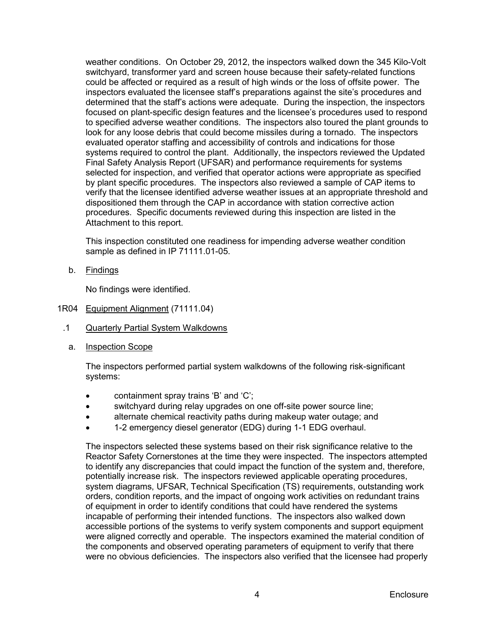weather conditions. On October 29, 2012, the inspectors walked down the 345 Kilo-Volt switchyard, transformer yard and screen house because their safety-related functions could be affected or required as a result of high winds or the loss of offsite power. The inspectors evaluated the licensee staff's preparations against the site's procedures and determined that the staff's actions were adequate. During the inspection, the inspectors focused on plant-specific design features and the licensee's procedures used to respond to specified adverse weather conditions. The inspectors also toured the plant grounds to look for any loose debris that could become missiles during a tornado. The inspectors evaluated operator staffing and accessibility of controls and indications for those systems required to control the plant. Additionally, the inspectors reviewed the Updated Final Safety Analysis Report (UFSAR) and performance requirements for systems selected for inspection, and verified that operator actions were appropriate as specified by plant specific procedures. The inspectors also reviewed a sample of CAP items to verify that the licensee identified adverse weather issues at an appropriate threshold and dispositioned them through the CAP in accordance with station corrective action procedures. Specific documents reviewed during this inspection are listed in the Attachment to this report.

This inspection constituted one readiness for impending adverse weather condition sample as defined in IP 71111.01-05.

b. <u>Findings</u>

No findings were identified.

- <span id="page-7-0"></span>1R04 Equipment Alignment (71111.04)
- .1 Quarterly Partial System Walkdowns
	- a. Inspection Scope

The inspectors performed partial system walkdowns of the following risk-significant systems:

- containment spray trains 'B' and 'C';
- switchyard during relay upgrades on one off-site power source line;
- alternate chemical reactivity paths during makeup water outage; and
- 1-2 emergency diesel generator (EDG) during 1-1 EDG overhaul.

The inspectors selected these systems based on their risk significance relative to the Reactor Safety Cornerstones at the time they were inspected. The inspectors attempted to identify any discrepancies that could impact the function of the system and, therefore, potentially increase risk. The inspectors reviewed applicable operating procedures, system diagrams, UFSAR, Technical Specification (TS) requirements, outstanding work orders, condition reports, and the impact of ongoing work activities on redundant trains of equipment in order to identify conditions that could have rendered the systems incapable of performing their intended functions. The inspectors also walked down accessible portions of the systems to verify system components and support equipment were aligned correctly and operable. The inspectors examined the material condition of the components and observed operating parameters of equipment to verify that there were no obvious deficiencies. The inspectors also verified that the licensee had properly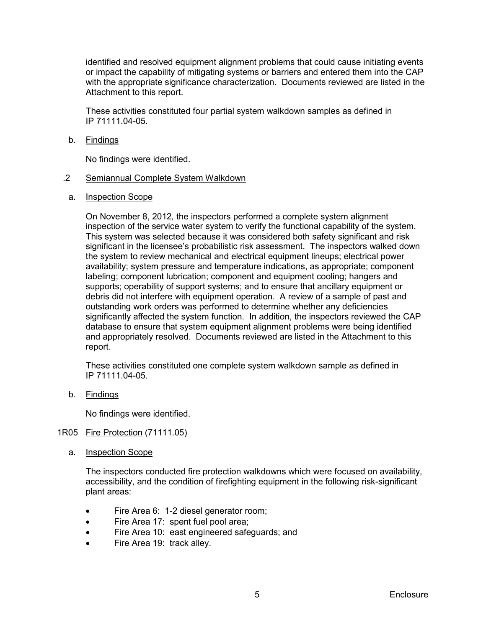identified and resolved equipment alignment problems that could cause initiating events or impact the capability of mitigating systems or barriers and entered them into the CAP with the appropriate significance characterization. Documents reviewed are listed in the Attachment to this report.

These activities constituted four partial system walkdown samples as defined in IP 71111.04-05.

b. <u>Findings</u>

No findings were identified.

- .2 Semiannual Complete System Walkdown
- a. Inspection Scope

On November 8, 2012*,* the inspectors performed a complete system alignment inspection of the service water system to verify the functional capability of the system. This system was selected because it was considered both safety significant and risk significant in the licensee's probabilistic risk assessment. The inspectors walked down the system to review mechanical and electrical equipment lineups; electrical power availability; system pressure and temperature indications, as appropriate; component labeling; component lubrication; component and equipment cooling; hangers and supports; operability of support systems; and to ensure that ancillary equipment or debris did not interfere with equipment operation. A review of a sample of past and outstanding work orders was performed to determine whether any deficiencies significantly affected the system function. In addition, the inspectors reviewed the CAP database to ensure that system equipment alignment problems were being identified and appropriately resolved. Documents reviewed are listed in the Attachment to this report.

These activities constituted one complete system walkdown sample as defined in IP 71111.04-05.

b. <u>Findings</u>

No findings were identified.

- <span id="page-8-0"></span>1R05 Fire Protection (71111.05)
	- a. Inspection Scope

The inspectors conducted fire protection walkdowns which were focused on availability, accessibility, and the condition of firefighting equipment in the following risk-significant plant areas:

- Fire Area 6: 1-2 diesel generator room;
- Fire Area 17: spent fuel pool area;
- Fire Area 10: east engineered safeguards; and
- Fire Area 19: track alley.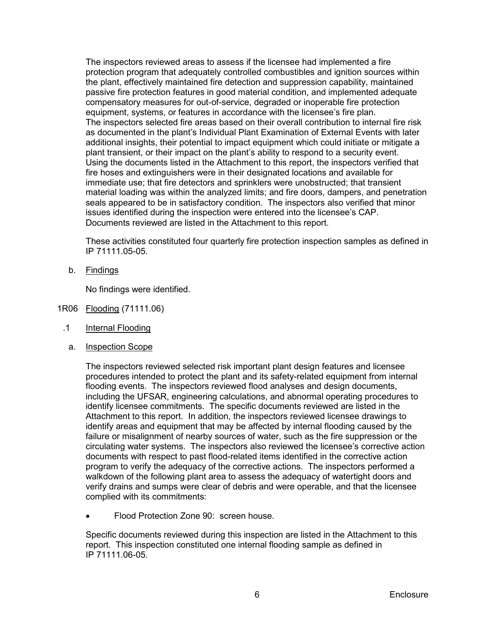The inspectors reviewed areas to assess if the licensee had implemented a fire protection program that adequately controlled combustibles and ignition sources within the plant, effectively maintained fire detection and suppression capability, maintained passive fire protection features in good material condition, and implemented adequate compensatory measures for out-of-service, degraded or inoperable fire protection equipment, systems, or features in accordance with the licensee's fire plan. The inspectors selected fire areas based on their overall contribution to internal fire risk as documented in the plant's Individual Plant Examination of External Events with later additional insights, their potential to impact equipment which could initiate or mitigate a plant transient, or their impact on the plant's ability to respond to a security event. Using the documents listed in the Attachment to this report, the inspectors verified that fire hoses and extinguishers were in their designated locations and available for immediate use; that fire detectors and sprinklers were unobstructed; that transient material loading was within the analyzed limits; and fire doors, dampers, and penetration seals appeared to be in satisfactory condition. The inspectors also verified that minor issues identified during the inspection were entered into the licensee's CAP. Documents reviewed are listed in the Attachment to this report.

These activities constituted four quarterly fire protection inspection samples as defined in IP 71111.05-05.

b. <u>Findings</u>

No findings were identified.

- <span id="page-9-0"></span>1R06 Flooding (71111.06)
	- .1 Internal Flooding
		- a. Inspection Scope

The inspectors reviewed selected risk important plant design features and licensee procedures intended to protect the plant and its safety-related equipment from internal flooding events. The inspectors reviewed flood analyses and design documents, including the UFSAR, engineering calculations, and abnormal operating procedures to identify licensee commitments. The specific documents reviewed are listed in the Attachment to this report. In addition, the inspectors reviewed licensee drawings to identify areas and equipment that may be affected by internal flooding caused by the failure or misalignment of nearby sources of water, such as the fire suppression or the circulating water systems. The inspectors also reviewed the licensee's corrective action documents with respect to past flood-related items identified in the corrective action program to verify the adequacy of the corrective actions. The inspectors performed a walkdown of the following plant area to assess the adequacy of watertight doors and verify drains and sumps were clear of debris and were operable, and that the licensee complied with its commitments:

• Flood Protection Zone 90: screen house.

Specific documents reviewed during this inspection are listed in the Attachment to this report. This inspection constituted one internal flooding sample as defined in IP 71111.06-05.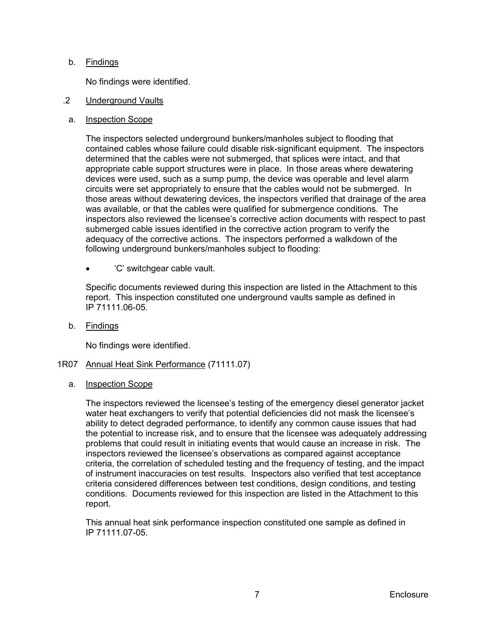## b. <u>Findings</u>

No findings were identified.

- .2 Underground Vaults
- a. Inspection Scope

The inspectors selected underground bunkers/manholes subject to flooding that contained cables whose failure could disable risk-significant equipment. The inspectors determined that the cables were not submerged, that splices were intact, and that appropriate cable support structures were in place. In those areas where dewatering devices were used, such as a sump pump, the device was operable and level alarm circuits were set appropriately to ensure that the cables would not be submerged. In those areas without dewatering devices, the inspectors verified that drainage of the area was available, or that the cables were qualified for submergence conditions. The inspectors also reviewed the licensee's corrective action documents with respect to past submerged cable issues identified in the corrective action program to verify the adequacy of the corrective actions. The inspectors performed a walkdown of the following underground bunkers/manholes subject to flooding:

• 'C' switchgear cable vault.

Specific documents reviewed during this inspection are listed in the Attachment to this report. This inspection constituted one underground vaults sample as defined in IP 71111.06-05.

b. <u>Findings</u>

No findings were identified.

#### <span id="page-10-0"></span>1R07 Annual Heat Sink Performance (71111.07)

a. Inspection Scope

The inspectors reviewed the licensee's testing of the emergency diesel generator jacket water heat exchangers to verify that potential deficiencies did not mask the licensee's ability to detect degraded performance, to identify any common cause issues that had the potential to increase risk, and to ensure that the licensee was adequately addressing problems that could result in initiating events that would cause an increase in risk. The inspectors reviewed the licensee's observations as compared against acceptance criteria, the correlation of scheduled testing and the frequency of testing, and the impact of instrument inaccuracies on test results. Inspectors also verified that test acceptance criteria considered differences between test conditions, design conditions, and testing conditions. Documents reviewed for this inspection are listed in the Attachment to this report.

This annual heat sink performance inspection constituted one sample as defined in IP 71111.07-05.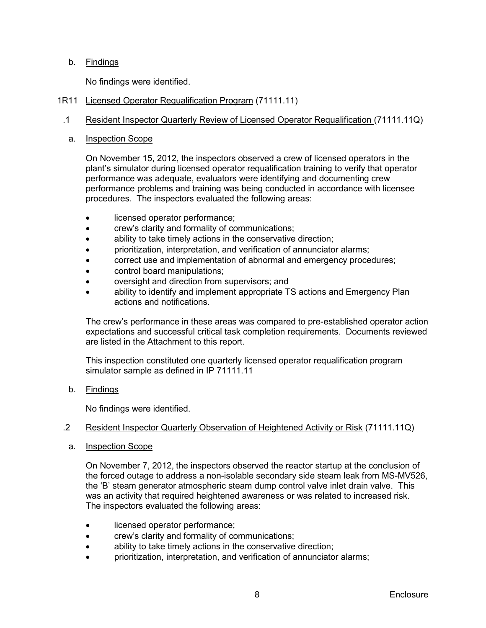# b. <u>Findings</u>

No findings were identified.

- <span id="page-11-0"></span>1R11 Licensed Operator Requalification Program (71111.11)
- .1 Resident Inspector Quarterly Review of Licensed Operator Requalification (71111.11Q)
	- a. Inspection Scope

On November 15, 2012, the inspectors observed a crew of licensed operators in the plant's simulator during licensed operator requalification training to verify that operator performance was adequate, evaluators were identifying and documenting crew performance problems and training was being conducted in accordance with licensee procedures. The inspectors evaluated the following areas:

- licensed operator performance;
- crew's clarity and formality of communications;
- ability to take timely actions in the conservative direction;
- prioritization, interpretation, and verification of annunciator alarms;
- correct use and implementation of abnormal and emergency procedures;
- control board manipulations;
- oversight and direction from supervisors; and
- ability to identify and implement appropriate TS actions and Emergency Plan actions and notifications.

The crew's performance in these areas was compared to pre-established operator action expectations and successful critical task completion requirements. Documents reviewed are listed in the Attachment to this report.

This inspection constituted one quarterly licensed operator requalification program simulator sample as defined in IP 71111.11

b. <u>Findings</u>

No findings were identified.

# .2 Resident Inspector Quarterly Observation of Heightened Activity or Risk (71111.11Q)

a. Inspection Scope

On November 7, 2012, the inspectors observed the reactor startup at the conclusion of the forced outage to address a non-isolable secondary side steam leak from MS-MV526, the 'B' steam generator atmospheric steam dump control valve inlet drain valve. This was an activity that required heightened awareness or was related to increased risk. The inspectors evaluated the following areas:

- licensed operator performance;
- crew's clarity and formality of communications;
- ability to take timely actions in the conservative direction;
- prioritization, interpretation, and verification of annunciator alarms;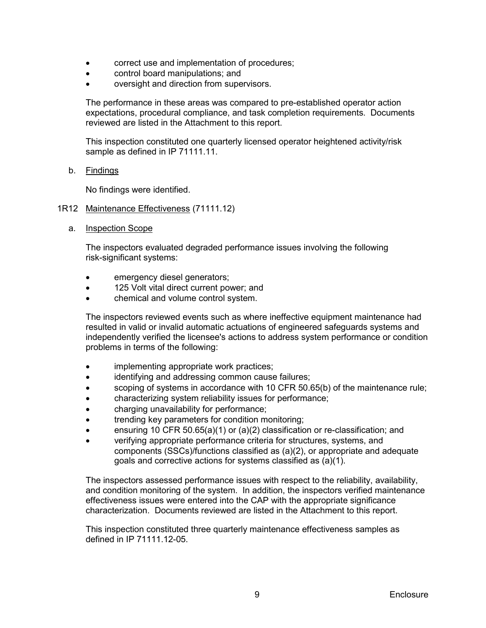- correct use and implementation of procedures;
- control board manipulations; and
- oversight and direction from supervisors.

The performance in these areas was compared to pre-established operator action expectations, procedural compliance, and task completion requirements. Documents reviewed are listed in the Attachment to this report.

This inspection constituted one quarterly licensed operator heightened activity/risk sample as defined in IP 71111.11.

b. <u>Findings</u>

No findings were identified.

#### <span id="page-12-0"></span>1R12 Maintenance Effectiveness (71111.12)

a. Inspection Scope

The inspectors evaluated degraded performance issues involving the following risk-significant systems:

- emergency diesel generators;
- 125 Volt vital direct current power; and
- chemical and volume control system.

The inspectors reviewed events such as where ineffective equipment maintenance had resulted in valid or invalid automatic actuations of engineered safeguards systems and independently verified the licensee's actions to address system performance or condition problems in terms of the following:

- implementing appropriate work practices;
- identifying and addressing common cause failures;
- scoping of systems in accordance with 10 CFR 50.65(b) of the maintenance rule;
- characterizing system reliability issues for performance;
- charging unavailability for performance;
- trending key parameters for condition monitoring;
- ensuring 10 CFR 50.65(a)(1) or (a)(2) classification or re-classification; and
- verifying appropriate performance criteria for structures, systems, and components (SSCs)/functions classified as (a)(2), or appropriate and adequate goals and corrective actions for systems classified as (a)(1).

The inspectors assessed performance issues with respect to the reliability, availability, and condition monitoring of the system. In addition, the inspectors verified maintenance effectiveness issues were entered into the CAP with the appropriate significance characterization. Documents reviewed are listed in the Attachment to this report.

This inspection constituted three quarterly maintenance effectiveness samples as defined in IP 71111.12-05.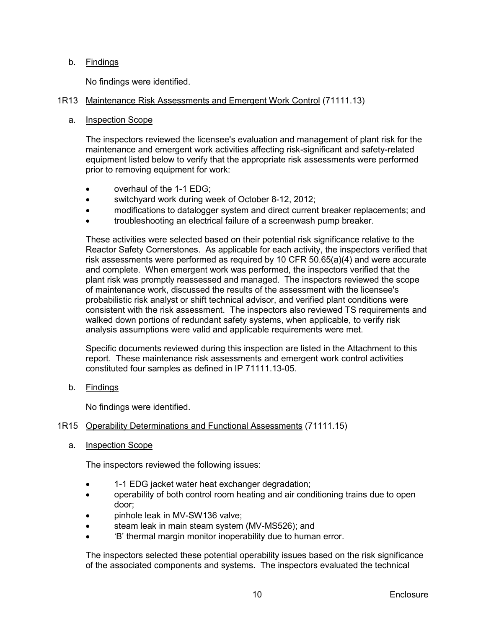# b. <u>Findings</u>

No findings were identified.

## <span id="page-13-0"></span>1R13 Maintenance Risk Assessments and Emergent Work Control (71111.13)

### a. Inspection Scope

The inspectors reviewed the licensee's evaluation and management of plant risk for the maintenance and emergent work activities affecting risk-significant and safety-related equipment listed below to verify that the appropriate risk assessments were performed prior to removing equipment for work:

- overhaul of the 1-1 EDG;
- switchyard work during week of October 8-12, 2012;
- modifications to datalogger system and direct current breaker replacements; and
- troubleshooting an electrical failure of a screenwash pump breaker.

These activities were selected based on their potential risk significance relative to the Reactor Safety Cornerstones. As applicable for each activity, the inspectors verified that risk assessments were performed as required by 10 CFR 50.65(a)(4) and were accurate and complete. When emergent work was performed, the inspectors verified that the plant risk was promptly reassessed and managed. The inspectors reviewed the scope of maintenance work, discussed the results of the assessment with the licensee's probabilistic risk analyst or shift technical advisor, and verified plant conditions were consistent with the risk assessment. The inspectors also reviewed TS requirements and walked down portions of redundant safety systems, when applicable, to verify risk analysis assumptions were valid and applicable requirements were met.

Specific documents reviewed during this inspection are listed in the Attachment to this report. These maintenance risk assessments and emergent work control activities constituted four samples as defined in IP 71111.13-05.

b. <u>Findings</u>

No findings were identified.

## <span id="page-13-1"></span>1R15 Operability Determinations and Functional Assessments (71111.15)

a. Inspection Scope

The inspectors reviewed the following issues:

- 1-1 EDG jacket water heat exchanger degradation;
- operability of both control room heating and air conditioning trains due to open door;
- pinhole leak in MV-SW136 valve;
- steam leak in main steam system (MV-MS526); and
- 'B' thermal margin monitor inoperability due to human error.

The inspectors selected these potential operability issues based on the risk significance of the associated components and systems. The inspectors evaluated the technical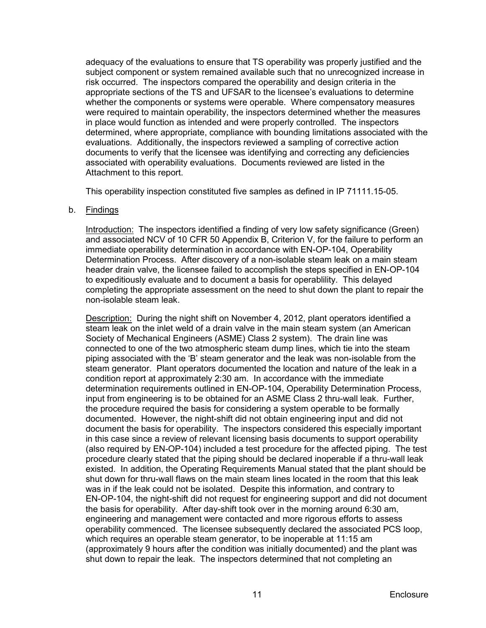adequacy of the evaluations to ensure that TS operability was properly justified and the subject component or system remained available such that no unrecognized increase in risk occurred. The inspectors compared the operability and design criteria in the appropriate sections of the TS and UFSAR to the licensee's evaluations to determine whether the components or systems were operable. Where compensatory measures were required to maintain operability, the inspectors determined whether the measures in place would function as intended and were properly controlled. The inspectors determined, where appropriate, compliance with bounding limitations associated with the evaluations. Additionally, the inspectors reviewed a sampling of corrective action documents to verify that the licensee was identifying and correcting any deficiencies associated with operability evaluations. Documents reviewed are listed in the Attachment to this report.

This operability inspection constituted five samples as defined in IP 71111.15-05.

### b. Findings

Introduction: The inspectors identified a finding of very low safety significance (Green) and associated NCV of 10 CFR 50 Appendix B, Criterion V, for the failure to perform an immediate operability determination in accordance with EN-OP-104, Operability Determination Process. After discovery of a non-isolable steam leak on a main steam header drain valve, the licensee failed to accomplish the steps specified in EN-OP-104 to expeditiously evaluate and to document a basis for operablility. This delayed completing the appropriate assessment on the need to shut down the plant to repair the non-isolable steam leak.

Description: During the night shift on November 4, 2012, plant operators identified a steam leak on the inlet weld of a drain valve in the main steam system (an American Society of Mechanical Engineers (ASME) Class 2 system). The drain line was connected to one of the two atmospheric steam dump lines, which tie into the steam piping associated with the 'B' steam generator and the leak was non-isolable from the steam generator. Plant operators documented the location and nature of the leak in a condition report at approximately 2:30 am. In accordance with the immediate determination requirements outlined in EN-OP-104, Operability Determination Process, input from engineering is to be obtained for an ASME Class 2 thru-wall leak. Further, the procedure required the basis for considering a system operable to be formally documented. However, the night-shift did not obtain engineering input and did not document the basis for operability. The inspectors considered this especially important in this case since a review of relevant licensing basis documents to support operability (also required by EN-OP-104) included a test procedure for the affected piping. The test procedure clearly stated that the piping should be declared inoperable if a thru-wall leak existed. In addition, the Operating Requirements Manual stated that the plant should be shut down for thru-wall flaws on the main steam lines located in the room that this leak was in if the leak could not be isolated. Despite this information, and contrary to EN-OP-104, the night-shift did not request for engineering support and did not document the basis for operability. After day-shift took over in the morning around 6:30 am, engineering and management were contacted and more rigorous efforts to assess operability commenced. The licensee subsequently declared the associated PCS loop, which requires an operable steam generator, to be inoperable at 11:15 am (approximately 9 hours after the condition was initially documented) and the plant was shut down to repair the leak. The inspectors determined that not completing an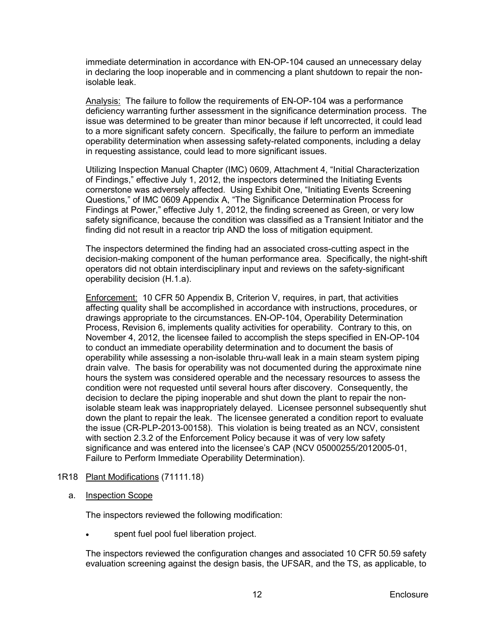immediate determination in accordance with EN-OP-104 caused an unnecessary delay in declaring the loop inoperable and in commencing a plant shutdown to repair the nonisolable leak.

Analysis: The failure to follow the requirements of EN-OP-104 was a performance deficiency warranting further assessment in the significance determination process. The issue was determined to be greater than minor because if left uncorrected, it could lead to a more significant safety concern. Specifically, the failure to perform an immediate operability determination when assessing safety-related components, including a delay in requesting assistance, could lead to more significant issues.

Utilizing Inspection Manual Chapter (IMC) 0609, Attachment 4, "Initial Characterization of Findings," effective July 1, 2012, the inspectors determined the Initiating Events cornerstone was adversely affected. Using Exhibit One, "Initiating Events Screening Questions," of IMC 0609 Appendix A, "The Significance Determination Process for Findings at Power," effective July 1, 2012, the finding screened as Green, or very low safety significance, because the condition was classified as a Transient Initiator and the finding did not result in a reactor trip AND the loss of mitigation equipment.

The inspectors determined the finding had an associated cross-cutting aspect in the decision-making component of the human performance area. Specifically, the night-shift operators did not obtain interdisciplinary input and reviews on the safety-significant operability decision (H.1.a).

Enforcement: 10 CFR 50 Appendix B, Criterion V, requires, in part, that activities affecting quality shall be accomplished in accordance with instructions, procedures, or drawings appropriate to the circumstances. EN-OP-104, Operability Determination Process, Revision 6, implements quality activities for operability. Contrary to this, on November 4, 2012, the licensee failed to accomplish the steps specified in EN-OP-104 to conduct an immediate operability determination and to document the basis of operability while assessing a non-isolable thru-wall leak in a main steam system piping drain valve. The basis for operability was not documented during the approximate nine hours the system was considered operable and the necessary resources to assess the condition were not requested until several hours after discovery. Consequently, the decision to declare the piping inoperable and shut down the plant to repair the nonisolable steam leak was inappropriately delayed. Licensee personnel subsequently shut down the plant to repair the leak. The licensee generated a condition report to evaluate the issue (CR-PLP-2013-00158). This violation is being treated as an NCV, consistent with section 2.3.2 of the Enforcement Policy because it was of very low safety significance and was entered into the licensee's CAP (NCV 05000255/2012005-01, Failure to Perform Immediate Operability Determination).

# 1R18 Plant Modifications (71111.18)

### a. Inspection Scope

The inspectors reviewed the following modification:

spent fuel pool fuel liberation project.

The inspectors reviewed the configuration changes and associated 10 CFR 50.59 safety evaluation screening against the design basis, the UFSAR, and the TS, as applicable, to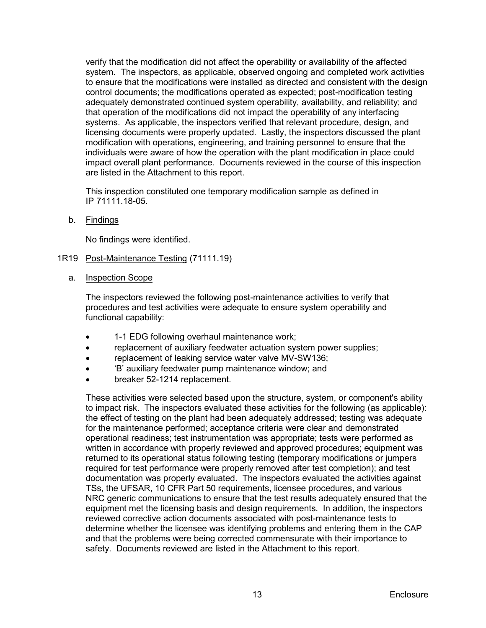verify that the modification did not affect the operability or availability of the affected system. The inspectors, as applicable, observed ongoing and completed work activities to ensure that the modifications were installed as directed and consistent with the design control documents; the modifications operated as expected; post-modification testing adequately demonstrated continued system operability, availability, and reliability; and that operation of the modifications did not impact the operability of any interfacing systems. As applicable, the inspectors verified that relevant procedure, design, and licensing documents were properly updated. Lastly, the inspectors discussed the plant modification with operations, engineering, and training personnel to ensure that the individuals were aware of how the operation with the plant modification in place could impact overall plant performance. Documents reviewed in the course of this inspection are listed in the Attachment to this report.

This inspection constituted one temporary modification sample as defined in IP 71111.18-05.

b. <u>Findings</u>

No findings were identified.

### <span id="page-16-0"></span>1R19 Post-Maintenance Testing (71111.19)

a. Inspection Scope

The inspectors reviewed the following post-maintenance activities to verify that procedures and test activities were adequate to ensure system operability and functional capability:

- 1-1 EDG following overhaul maintenance work;
- replacement of auxiliary feedwater actuation system power supplies;
- replacement of leaking service water valve MV-SW136;
- 'B' auxiliary feedwater pump maintenance window; and
- breaker 52-1214 replacement.

These activities were selected based upon the structure, system, or component's ability to impact risk. The inspectors evaluated these activities for the following (as applicable): the effect of testing on the plant had been adequately addressed; testing was adequate for the maintenance performed; acceptance criteria were clear and demonstrated operational readiness; test instrumentation was appropriate; tests were performed as written in accordance with properly reviewed and approved procedures; equipment was returned to its operational status following testing (temporary modifications or jumpers required for test performance were properly removed after test completion); and test documentation was properly evaluated. The inspectors evaluated the activities against TSs, the UFSAR, 10 CFR Part 50 requirements, licensee procedures, and various NRC generic communications to ensure that the test results adequately ensured that the equipment met the licensing basis and design requirements. In addition, the inspectors reviewed corrective action documents associated with post-maintenance tests to determine whether the licensee was identifying problems and entering them in the CAP and that the problems were being corrected commensurate with their importance to safety. Documents reviewed are listed in the Attachment to this report.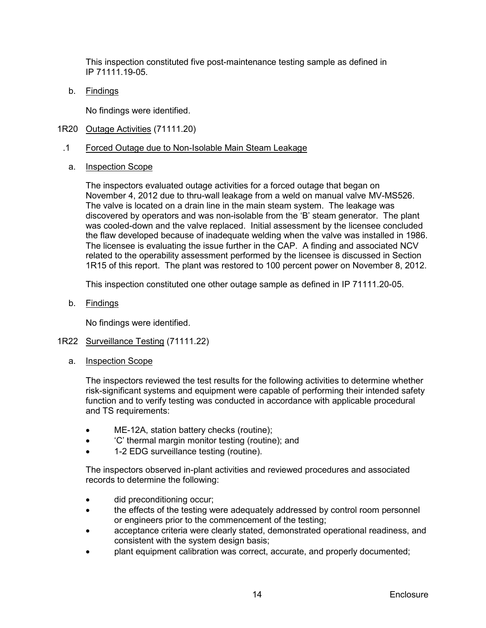This inspection constituted five post-maintenance testing sample as defined in IP 71111.19-05.

b. <u>Findings</u>

No findings were identified.

- <span id="page-17-0"></span>1R20 Outage Activities (71111.20)
- .1 Forced Outage due to Non-Isolable Main Steam Leakage
	- a. Inspection Scope

The inspectors evaluated outage activities for a forced outage that began on November 4, 2012 due to thru-wall leakage from a weld on manual valve MV-MS526. The valve is located on a drain line in the main steam system. The leakage was discovered by operators and was non-isolable from the 'B' steam generator. The plant was cooled-down and the valve replaced. Initial assessment by the licensee concluded the flaw developed because of inadequate welding when the valve was installed in 1986. The licensee is evaluating the issue further in the CAP. A finding and associated NCV related to the operability assessment performed by the licensee is discussed in Section 1R15 of this report. The plant was restored to 100 percent power on November 8, 2012.

This inspection constituted one other outage sample as defined in IP 71111.20-05.

b. <u>Findings</u>

No findings were identified.

- <span id="page-17-1"></span>1R22 Surveillance Testing (71111.22)
	- a. Inspection Scope

The inspectors reviewed the test results for the following activities to determine whether risk-significant systems and equipment were capable of performing their intended safety function and to verify testing was conducted in accordance with applicable procedural and TS requirements:

- ME-12A, station battery checks (routine);
- 'C' thermal margin monitor testing (routine); and
- 1-2 EDG surveillance testing (routine).

The inspectors observed in-plant activities and reviewed procedures and associated records to determine the following:

- did preconditioning occur;
- the effects of the testing were adequately addressed by control room personnel or engineers prior to the commencement of the testing;
- acceptance criteria were clearly stated, demonstrated operational readiness, and consistent with the system design basis;
- plant equipment calibration was correct, accurate, and properly documented;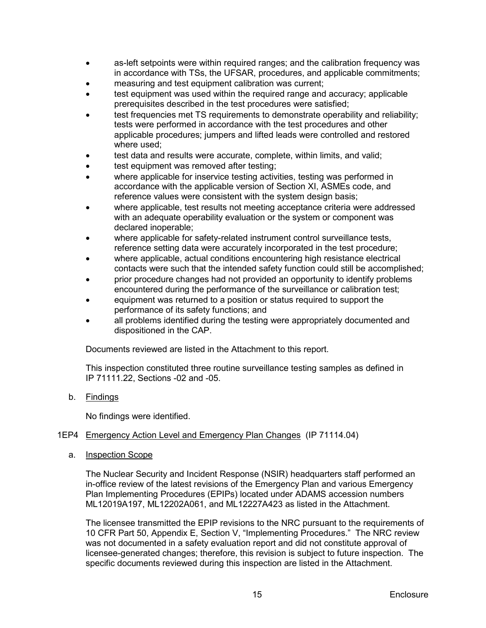- as-left setpoints were within required ranges; and the calibration frequency was in accordance with TSs, the UFSAR, procedures, and applicable commitments;
- measuring and test equipment calibration was current;
- test equipment was used within the required range and accuracy; applicable prerequisites described in the test procedures were satisfied;
- test frequencies met TS requirements to demonstrate operability and reliability; tests were performed in accordance with the test procedures and other applicable procedures; jumpers and lifted leads were controlled and restored where used;
- test data and results were accurate, complete, within limits, and valid;
- test equipment was removed after testing;
- where applicable for inservice testing activities, testing was performed in accordance with the applicable version of Section XI, ASMEs code, and reference values were consistent with the system design basis;
- where applicable, test results not meeting acceptance criteria were addressed with an adequate operability evaluation or the system or component was declared inoperable;
- where applicable for safety-related instrument control surveillance tests, reference setting data were accurately incorporated in the test procedure;
- where applicable, actual conditions encountering high resistance electrical contacts were such that the intended safety function could still be accomplished;
- prior procedure changes had not provided an opportunity to identify problems encountered during the performance of the surveillance or calibration test;
- equipment was returned to a position or status required to support the performance of its safety functions; and
- all problems identified during the testing were appropriately documented and dispositioned in the CAP.

Documents reviewed are listed in the Attachment to this report.

This inspection constituted three routine surveillance testing samples as defined in IP 71111.22, Sections -02 and -05.

b. <u>Findings</u>

No findings were identified.

### <span id="page-18-0"></span>1EP4 Emergency Action Level and Emergency Plan Changes (IP 71114.04)

a. Inspection Scope

The Nuclear Security and Incident Response (NSIR) headquarters staff performed an in-office review of the latest revisions of the Emergency Plan and various Emergency Plan Implementing Procedures (EPIPs) located under ADAMS accession numbers ML12019A197, ML12202A061, and ML12227A423 as listed in the Attachment.

The licensee transmitted the EPIP revisions to the NRC pursuant to the requirements of 10 CFR Part 50, Appendix E, Section V, "Implementing Procedures." The NRC review was not documented in a safety evaluation report and did not constitute approval of licensee-generated changes; therefore, this revision is subject to future inspection. The specific documents reviewed during this inspection are listed in the Attachment.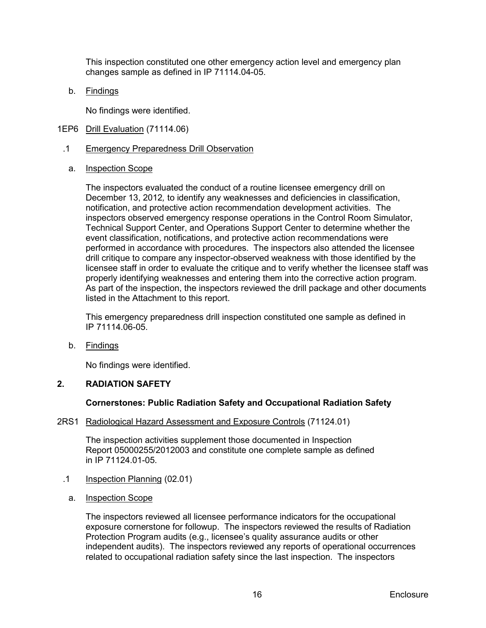This inspection constituted one other emergency action level and emergency plan changes sample as defined in IP 71114.04-05.

b. <u>Findings</u>

No findings were identified.

- <span id="page-19-0"></span>1EP6 Drill Evaluation (71114.06)
	- .1 Emergency Preparedness Drill Observation
		- a. Inspection Scope

The inspectors evaluated the conduct of a routine licensee emergency drill on December 13, 2012*,* to identify any weaknesses and deficiencies in classification, notification, and protective action recommendation development activities. The inspectors observed emergency response operations in the Control Room Simulator, Technical Support Center, and Operations Support Center to determine whether the event classification, notifications, and protective action recommendations were performed in accordance with procedures. The inspectors also attended the licensee drill critique to compare any inspector-observed weakness with those identified by the licensee staff in order to evaluate the critique and to verify whether the licensee staff was properly identifying weaknesses and entering them into the corrective action program. As part of the inspection, the inspectors reviewed the drill package and other documents listed in the Attachment to this report.

This emergency preparedness drill inspection constituted one sample as defined in IP 71114.06-05.

b. <u>Findings</u>

No findings were identified.

# <span id="page-19-1"></span>**2. RADIATION SAFETY**

#### **Cornerstones: Public Radiation Safety and Occupational Radiation Safety**

<span id="page-19-2"></span>2RS1 Radiological Hazard Assessment and Exposure Controls (71124.01)

The inspection activities supplement those documented in Inspection Report 05000255/2012003 and constitute one complete sample as defined in IP 71124.01-05.

- .1 Inspection Planning (02.01)
	- a. Inspection Scope

The inspectors reviewed all licensee performance indicators for the occupational exposure cornerstone for followup. The inspectors reviewed the results of Radiation Protection Program audits (e.g., licensee's quality assurance audits or other independent audits). The inspectors reviewed any reports of operational occurrences related to occupational radiation safety since the last inspection. The inspectors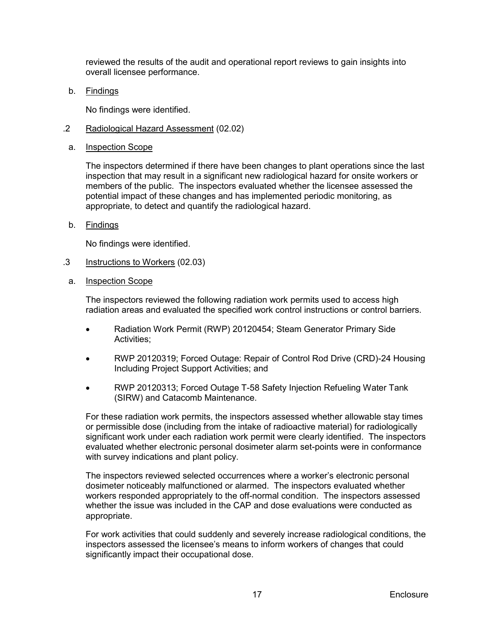reviewed the results of the audit and operational report reviews to gain insights into overall licensee performance.

b. <u>Findings</u>

No findings were identified.

- .2 Radiological Hazard Assessment (02.02)
- a. Inspection Scope

The inspectors determined if there have been changes to plant operations since the last inspection that may result in a significant new radiological hazard for onsite workers or members of the public. The inspectors evaluated whether the licensee assessed the potential impact of these changes and has implemented periodic monitoring, as appropriate, to detect and quantify the radiological hazard.

b. Findings

No findings were identified.

- .3 Instructions to Workers (02.03)
- a. Inspection Scope

The inspectors reviewed the following radiation work permits used to access high radiation areas and evaluated the specified work control instructions or control barriers.

- Radiation Work Permit (RWP) 20120454; Steam Generator Primary Side Activities;
- RWP 20120319; Forced Outage: Repair of Control Rod Drive (CRD)-24 Housing Including Project Support Activities; and
- RWP 20120313; Forced Outage T-58 Safety Injection Refueling Water Tank (SIRW) and Catacomb Maintenance.

For these radiation work permits, the inspectors assessed whether allowable stay times or permissible dose (including from the intake of radioactive material) for radiologically significant work under each radiation work permit were clearly identified. The inspectors evaluated whether electronic personal dosimeter alarm set-points were in conformance with survey indications and plant policy.

The inspectors reviewed selected occurrences where a worker's electronic personal dosimeter noticeably malfunctioned or alarmed. The inspectors evaluated whether workers responded appropriately to the off-normal condition. The inspectors assessed whether the issue was included in the CAP and dose evaluations were conducted as appropriate.

For work activities that could suddenly and severely increase radiological conditions, the inspectors assessed the licensee's means to inform workers of changes that could significantly impact their occupational dose.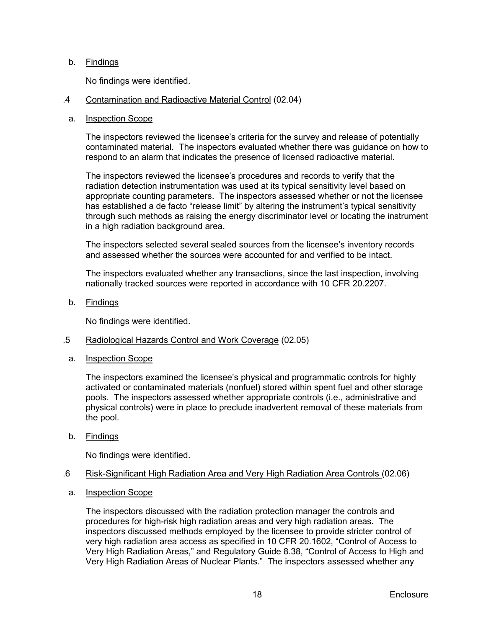### b. Findings

No findings were identified.

#### .4 Contamination and Radioactive Material Control (02.04)

#### a. Inspection Scope

The inspectors reviewed the licensee's criteria for the survey and release of potentially contaminated material. The inspectors evaluated whether there was guidance on how to respond to an alarm that indicates the presence of licensed radioactive material.

The inspectors reviewed the licensee's procedures and records to verify that the radiation detection instrumentation was used at its typical sensitivity level based on appropriate counting parameters. The inspectors assessed whether or not the licensee has established a de facto "release limit" by altering the instrument's typical sensitivity through such methods as raising the energy discriminator level or locating the instrument in a high radiation background area.

The inspectors selected several sealed sources from the licensee's inventory records and assessed whether the sources were accounted for and verified to be intact.

The inspectors evaluated whether any transactions, since the last inspection, involving nationally tracked sources were reported in accordance with 10 CFR 20.2207.

b. Findings

No findings were identified.

#### .5 Radiological Hazards Control and Work Coverage (02.05)

a. Inspection Scope

The inspectors examined the licensee's physical and programmatic controls for highly activated or contaminated materials (nonfuel) stored within spent fuel and other storage pools. The inspectors assessed whether appropriate controls (i.e., administrative and physical controls) were in place to preclude inadvertent removal of these materials from the pool.

b. Findings

No findings were identified.

#### .6 Risk-Significant High Radiation Area and Very High Radiation Area Controls (02.06)

a. Inspection Scope

The inspectors discussed with the radiation protection manager the controls and procedures for high-risk high radiation areas and very high radiation areas. The inspectors discussed methods employed by the licensee to provide stricter control of very high radiation area access as specified in 10 CFR 20.1602, "Control of Access to Very High Radiation Areas," and Regulatory Guide 8.38, "Control of Access to High and Very High Radiation Areas of Nuclear Plants." The inspectors assessed whether any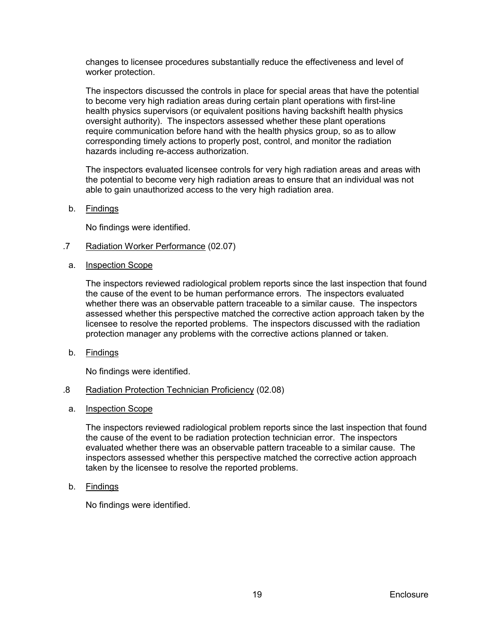changes to licensee procedures substantially reduce the effectiveness and level of worker protection.

The inspectors discussed the controls in place for special areas that have the potential to become very high radiation areas during certain plant operations with first-line health physics supervisors (or equivalent positions having backshift health physics oversight authority). The inspectors assessed whether these plant operations require communication before hand with the health physics group, so as to allow corresponding timely actions to properly post, control, and monitor the radiation hazards including re-access authorization.

The inspectors evaluated licensee controls for very high radiation areas and areas with the potential to become very high radiation areas to ensure that an individual was not able to gain unauthorized access to the very high radiation area.

b. Findings

No findings were identified.

- .7 Radiation Worker Performance (02.07)
	- a. Inspection Scope

The inspectors reviewed radiological problem reports since the last inspection that found the cause of the event to be human performance errors. The inspectors evaluated whether there was an observable pattern traceable to a similar cause. The inspectors assessed whether this perspective matched the corrective action approach taken by the licensee to resolve the reported problems. The inspectors discussed with the radiation protection manager any problems with the corrective actions planned or taken.

b. Findings

No findings were identified.

- .8 Radiation Protection Technician Proficiency (02.08)
- a. Inspection Scope

The inspectors reviewed radiological problem reports since the last inspection that found the cause of the event to be radiation protection technician error. The inspectors evaluated whether there was an observable pattern traceable to a similar cause. The inspectors assessed whether this perspective matched the corrective action approach taken by the licensee to resolve the reported problems.

b. Findings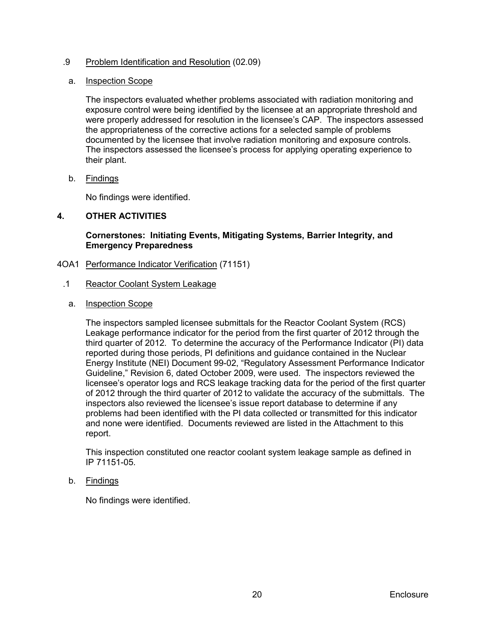# .9 Problem Identification and Resolution (02.09)

#### a. Inspection Scope

The inspectors evaluated whether problems associated with radiation monitoring and exposure control were being identified by the licensee at an appropriate threshold and were properly addressed for resolution in the licensee's CAP. The inspectors assessed the appropriateness of the corrective actions for a selected sample of problems documented by the licensee that involve radiation monitoring and exposure controls. The inspectors assessed the licensee's process for applying operating experience to their plant.

b. Findings

No findings were identified.

# <span id="page-23-0"></span>**4. OTHER ACTIVITIES**

**Cornerstones: Initiating Events, Mitigating Systems, Barrier Integrity, and Emergency Preparedness**

- <span id="page-23-1"></span>4OA1 Performance Indicator Verification (71151)
	- .1 Reactor Coolant System Leakage
		- a. Inspection Scope

The inspectors sampled licensee submittals for the Reactor Coolant System (RCS) Leakage performance indicator for the period from the first quarter of 2012 through the third quarter of 2012. To determine the accuracy of the Performance Indicator (PI) data reported during those periods, PI definitions and guidance contained in the Nuclear Energy Institute (NEI) Document 99-02, "Regulatory Assessment Performance Indicator Guideline," Revision 6, dated October 2009, were used. The inspectors reviewed the licensee's operator logs and RCS leakage tracking data for the period of the first quarter of 2012 through the third quarter of 2012 to validate the accuracy of the submittals. The inspectors also reviewed the licensee's issue report database to determine if any problems had been identified with the PI data collected or transmitted for this indicator and none were identified. Documents reviewed are listed in the Attachment to this report.

This inspection constituted one reactor coolant system leakage sample as defined in IP 71151-05.

b. Findings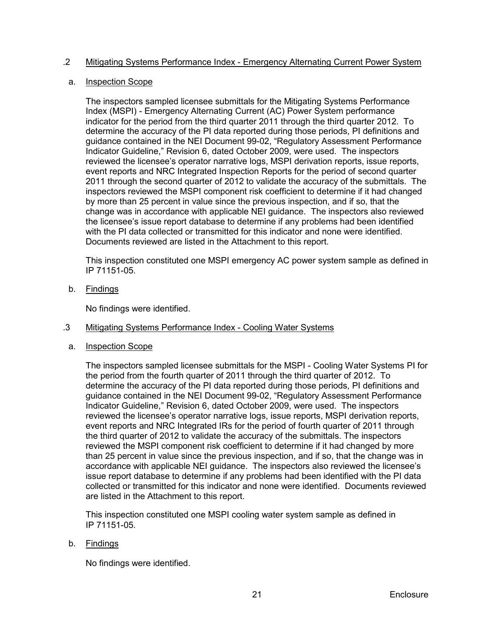# .2 Mitigating Systems Performance Index - Emergency Alternating Current Power System

# a. Inspection Scope

The inspectors sampled licensee submittals for the Mitigating Systems Performance Index (MSPI) - Emergency Alternating Current (AC) Power System performance indicator for the period from the third quarter 2011 through the third quarter 2012. To determine the accuracy of the PI data reported during those periods, PI definitions and guidance contained in the NEI Document 99-02, "Regulatory Assessment Performance Indicator Guideline," Revision 6, dated October 2009, were used. The inspectors reviewed the licensee's operator narrative logs, MSPI derivation reports, issue reports, event reports and NRC Integrated Inspection Reports for the period of second quarter 2011 through the second quarter of 2012 to validate the accuracy of the submittals. The inspectors reviewed the MSPI component risk coefficient to determine if it had changed by more than 25 percent in value since the previous inspection, and if so, that the change was in accordance with applicable NEI guidance. The inspectors also reviewed the licensee's issue report database to determine if any problems had been identified with the PI data collected or transmitted for this indicator and none were identified. Documents reviewed are listed in the Attachment to this report.

This inspection constituted one MSPI emergency AC power system sample as defined in IP 71151-05.

b. Findings

No findings were identified.

# .3 Mitigating Systems Performance Index - Cooling Water Systems

a. Inspection Scope

The inspectors sampled licensee submittals for the MSPI - Cooling Water Systems PI for the period from the fourth quarter of 2011 through the third quarter of 2012. To determine the accuracy of the PI data reported during those periods, PI definitions and guidance contained in the NEI Document 99-02, "Regulatory Assessment Performance Indicator Guideline," Revision 6, dated October 2009, were used. The inspectors reviewed the licensee's operator narrative logs, issue reports, MSPI derivation reports, event reports and NRC Integrated IRs for the period of fourth quarter of 2011 through the third quarter of 2012 to validate the accuracy of the submittals. The inspectors reviewed the MSPI component risk coefficient to determine if it had changed by more than 25 percent in value since the previous inspection, and if so, that the change was in accordance with applicable NEI guidance. The inspectors also reviewed the licensee's issue report database to determine if any problems had been identified with the PI data collected or transmitted for this indicator and none were identified. Documents reviewed are listed in the Attachment to this report.

This inspection constituted one MSPI cooling water system sample as defined in IP 71151-05.

# b. Findings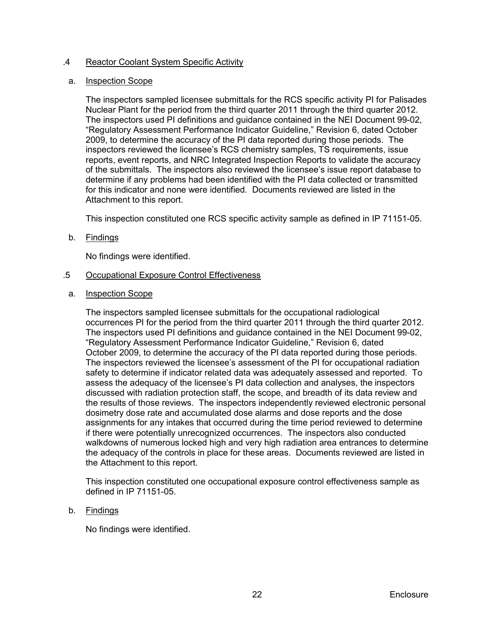## .4 Reactor Coolant System Specific Activity

#### a. Inspection Scope

The inspectors sampled licensee submittals for the RCS specific activity PI for Palisades Nuclear Plant for the period from the third quarter 2011 through the third quarter 2012. The inspectors used PI definitions and guidance contained in the NEI Document 99-02, "Regulatory Assessment Performance Indicator Guideline," Revision 6, dated October 2009, to determine the accuracy of the PI data reported during those periods. The inspectors reviewed the licensee's RCS chemistry samples, TS requirements, issue reports, event reports, and NRC Integrated Inspection Reports to validate the accuracy of the submittals. The inspectors also reviewed the licensee's issue report database to determine if any problems had been identified with the PI data collected or transmitted for this indicator and none were identified. Documents reviewed are listed in the Attachment to this report.

This inspection constituted one RCS specific activity sample as defined in IP 71151-05.

### b. Findings

No findings were identified.

### .5 Occupational Exposure Control Effectiveness

#### a. Inspection Scope

The inspectors sampled licensee submittals for the occupational radiological occurrences PI for the period from the third quarter 2011 through the third quarter 2012. The inspectors used PI definitions and guidance contained in the NEI Document 99-02, "Regulatory Assessment Performance Indicator Guideline," Revision 6, dated October 2009, to determine the accuracy of the PI data reported during those periods. The inspectors reviewed the licensee's assessment of the PI for occupational radiation safety to determine if indicator related data was adequately assessed and reported. To assess the adequacy of the licensee's PI data collection and analyses, the inspectors discussed with radiation protection staff, the scope, and breadth of its data review and the results of those reviews. The inspectors independently reviewed electronic personal dosimetry dose rate and accumulated dose alarms and dose reports and the dose assignments for any intakes that occurred during the time period reviewed to determine if there were potentially unrecognized occurrences. The inspectors also conducted walkdowns of numerous locked high and very high radiation area entrances to determine the adequacy of the controls in place for these areas. Documents reviewed are listed in the Attachment to this report.

This inspection constituted one occupational exposure control effectiveness sample as defined in IP 71151-05.

# b. Findings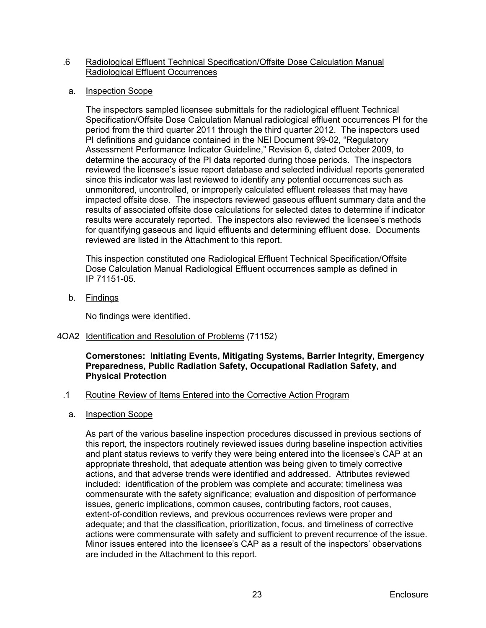## .6 Radiological Effluent Technical Specification/Offsite Dose Calculation Manual Radiological Effluent Occurrences

a. Inspection Scope

The inspectors sampled licensee submittals for the radiological effluent Technical Specification/Offsite Dose Calculation Manual radiological effluent occurrences PI for the period from the third quarter 2011 through the third quarter 2012. The inspectors used PI definitions and guidance contained in the NEI Document 99-02, "Regulatory Assessment Performance Indicator Guideline," Revision 6, dated October 2009, to determine the accuracy of the PI data reported during those periods. The inspectors reviewed the licensee's issue report database and selected individual reports generated since this indicator was last reviewed to identify any potential occurrences such as unmonitored, uncontrolled, or improperly calculated effluent releases that may have impacted offsite dose. The inspectors reviewed gaseous effluent summary data and the results of associated offsite dose calculations for selected dates to determine if indicator results were accurately reported. The inspectors also reviewed the licensee's methods for quantifying gaseous and liquid effluents and determining effluent dose. Documents reviewed are listed in the Attachment to this report.

This inspection constituted one Radiological Effluent Technical Specification/Offsite Dose Calculation Manual Radiological Effluent occurrences sample as defined in IP 71151-05.

b. Findings

No findings were identified.

<span id="page-26-0"></span>4OA2 Identification and Resolution of Problems (71152)

**Cornerstones: Initiating Events, Mitigating Systems, Barrier Integrity, Emergency Preparedness, Public Radiation Safety, Occupational Radiation Safety, and Physical Protection**

- .1 Routine Review of Items Entered into the Corrective Action Program
	- a. Inspection Scope

As part of the various baseline inspection procedures discussed in previous sections of this report, the inspectors routinely reviewed issues during baseline inspection activities and plant status reviews to verify they were being entered into the licensee's CAP at an appropriate threshold, that adequate attention was being given to timely corrective actions, and that adverse trends were identified and addressed. Attributes reviewed included: identification of the problem was complete and accurate; timeliness was commensurate with the safety significance; evaluation and disposition of performance issues, generic implications, common causes, contributing factors, root causes, extent-of-condition reviews, and previous occurrences reviews were proper and adequate; and that the classification, prioritization, focus, and timeliness of corrective actions were commensurate with safety and sufficient to prevent recurrence of the issue. Minor issues entered into the licensee's CAP as a result of the inspectors' observations are included in the Attachment to this report.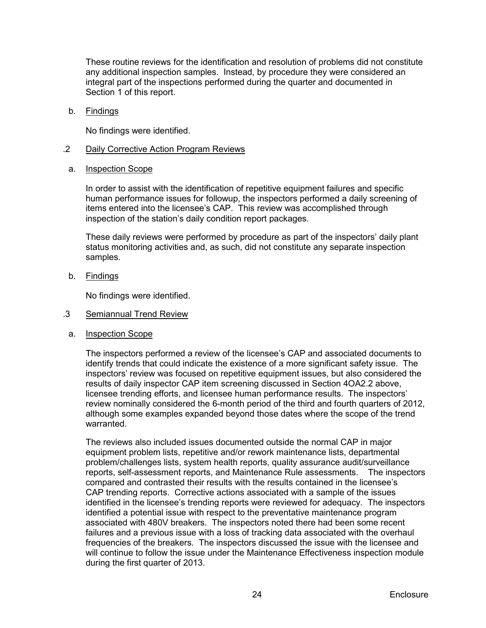These routine reviews for the identification and resolution of problems did not constitute any additional inspection samples. Instead, by procedure they were considered an integral part of the inspections performed during the quarter and documented in Section 1 of this report.

b. Findings

No findings were identified.

- .2 Daily Corrective Action Program Reviews
- a. Inspection Scope

In order to assist with the identification of repetitive equipment failures and specific human performance issues for followup, the inspectors performed a daily screening of items entered into the licensee's CAP. This review was accomplished through inspection of the station's daily condition report packages.

These daily reviews were performed by procedure as part of the inspectors' daily plant status monitoring activities and, as such, did not constitute any separate inspection samples.

b. Findings

No findings were identified.

- .3 Semiannual Trend Review
- a. Inspection Scope

The inspectors performed a review of the licensee's CAP and associated documents to identify trends that could indicate the existence of a more significant safety issue. The inspectors' review was focused on repetitive equipment issues, but also considered the results of daily inspector CAP item screening discussed in Section 4OA2.2 above, licensee trending efforts, and licensee human performance results. The inspectors' review nominally considered the 6-month period of the third and fourth quarters of 2012, although some examples expanded beyond those dates where the scope of the trend warranted.

The reviews also included issues documented outside the normal CAP in major equipment problem lists, repetitive and/or rework maintenance lists, departmental problem/challenges lists, system health reports, quality assurance audit/surveillance reports, self-assessment reports, and Maintenance Rule assessments. The inspectors compared and contrasted their results with the results contained in the licensee's CAP trending reports. Corrective actions associated with a sample of the issues identified in the licensee's trending reports were reviewed for adequacy. The inspectors identified a potential issue with respect to the preventative maintenance program associated with 480V breakers. The inspectors noted there had been some recent failures and a previous issue with a loss of tracking data associated with the overhaul frequencies of the breakers. The inspectors discussed the issue with the licensee and will continue to follow the issue under the Maintenance Effectiveness inspection module during the first quarter of 2013.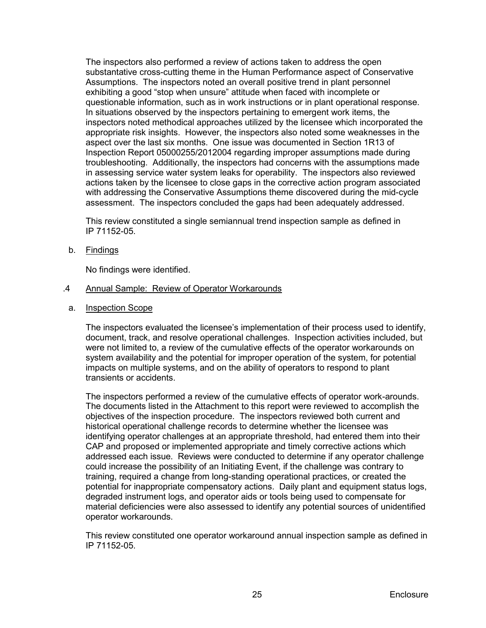The inspectors also performed a review of actions taken to address the open substantative cross-cutting theme in the Human Performance aspect of Conservative Assumptions. The inspectors noted an overall positive trend in plant personnel exhibiting a good "stop when unsure" attitude when faced with incomplete or questionable information, such as in work instructions or in plant operational response. In situations observed by the inspectors pertaining to emergent work items, the inspectors noted methodical approaches utilized by the licensee which incorporated the appropriate risk insights. However, the inspectors also noted some weaknesses in the aspect over the last six months. One issue was documented in Section 1R13 of Inspection Report 05000255/2012004 regarding improper assumptions made during troubleshooting. Additionally, the inspectors had concerns with the assumptions made in assessing service water system leaks for operability. The inspectors also reviewed actions taken by the licensee to close gaps in the corrective action program associated with addressing the Conservative Assumptions theme discovered during the mid-cycle assessment. The inspectors concluded the gaps had been adequately addressed.

This review constituted a single semiannual trend inspection sample as defined in IP 71152-05.

b. Findings

No findings were identified.

#### .4 Annual Sample: Review of Operator Workarounds

a. Inspection Scope

The inspectors evaluated the licensee's implementation of their process used to identify, document, track, and resolve operational challenges. Inspection activities included, but were not limited to, a review of the cumulative effects of the operator workarounds on system availability and the potential for improper operation of the system, for potential impacts on multiple systems, and on the ability of operators to respond to plant transients or accidents.

The inspectors performed a review of the cumulative effects of operator work-arounds. The documents listed in the Attachment to this report were reviewed to accomplish the objectives of the inspection procedure. The inspectors reviewed both current and historical operational challenge records to determine whether the licensee was identifying operator challenges at an appropriate threshold, had entered them into their CAP and proposed or implemented appropriate and timely corrective actions which addressed each issue. Reviews were conducted to determine if any operator challenge could increase the possibility of an Initiating Event, if the challenge was contrary to training, required a change from long-standing operational practices, or created the potential for inappropriate compensatory actions. Daily plant and equipment status logs, degraded instrument logs, and operator aids or tools being used to compensate for material deficiencies were also assessed to identify any potential sources of unidentified operator workarounds.

This review constituted one operator workaround annual inspection sample as defined in IP 71152-05.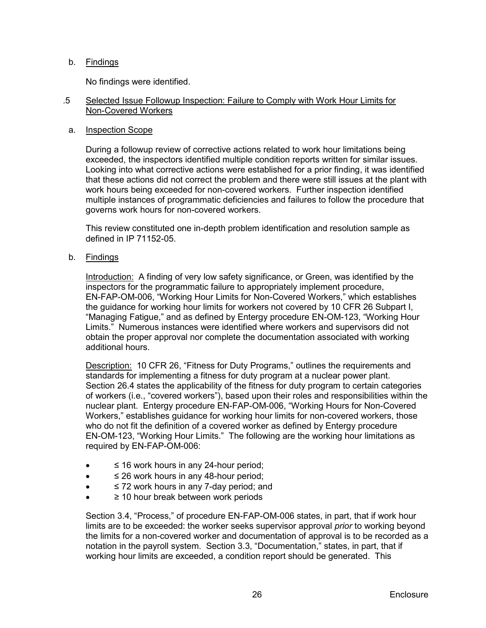# b. Findings

No findings were identified.

# .5 Selected Issue Followup Inspection: Failure to Comply with Work Hour Limits for Non-Covered Workers

# a. Inspection Scope

During a followup review of corrective actions related to work hour limitations being exceeded, the inspectors identified multiple condition reports written for similar issues. Looking into what corrective actions were established for a prior finding, it was identified that these actions did not correct the problem and there were still issues at the plant with work hours being exceeded for non-covered workers. Further inspection identified multiple instances of programmatic deficiencies and failures to follow the procedure that governs work hours for non-covered workers.

This review constituted one in-depth problem identification and resolution sample as defined in IP 71152-05.

b. Findings

Introduction: A finding of very low safety significance, or Green, was identified by the inspectors for the programmatic failure to appropriately implement procedure, EN-FAP-OM-006, "Working Hour Limits for Non-Covered Workers," which establishes the guidance for working hour limits for workers not covered by 10 CFR 26 Subpart I, "Managing Fatigue," and as defined by Entergy procedure EN-OM-123, "Working Hour Limits." Numerous instances were identified where workers and supervisors did not obtain the proper approval nor complete the documentation associated with working additional hours.

Description: 10 CFR 26, "Fitness for Duty Programs," outlines the requirements and standards for implementing a fitness for duty program at a nuclear power plant. Section 26.4 states the applicability of the fitness for duty program to certain categories of workers (i.e., "covered workers"), based upon their roles and responsibilities within the nuclear plant. Entergy procedure EN-FAP-OM-006, "Working Hours for Non-Covered Workers," establishes guidance for working hour limits for non-covered workers, those who do not fit the definition of a covered worker as defined by Entergy procedure EN-OM-123, "Working Hour Limits." The following are the working hour limitations as required by EN-FAP-OM-006:

- ≤ 16 work hours in any 24-hour period;
- ≤ 26 work hours in any 48-hour period;
- ≤ 72 work hours in any 7-day period; and
- $\geq$  10 hour break between work periods

Section 3.4, "Process," of procedure EN-FAP-OM-006 states, in part, that if work hour limits are to be exceeded: the worker seeks supervisor approval *prior* to working beyond the limits for a non-covered worker and documentation of approval is to be recorded as a notation in the payroll system. Section 3.3, "Documentation," states, in part, that if working hour limits are exceeded, a condition report should be generated. This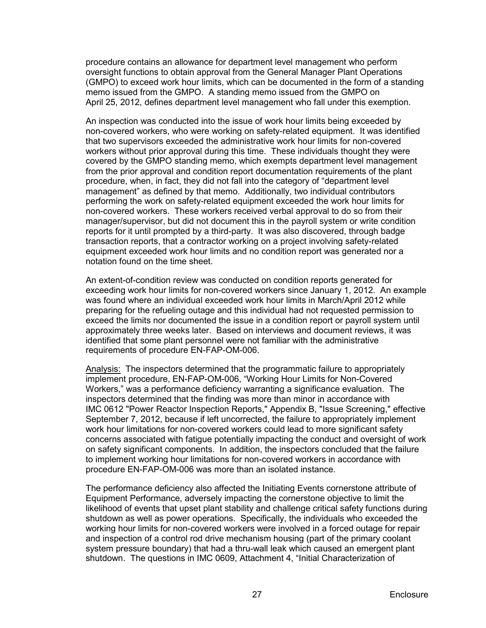procedure contains an allowance for department level management who perform oversight functions to obtain approval from the General Manager Plant Operations (GMPO) to exceed work hour limits, which can be documented in the form of a standing memo issued from the GMPO. A standing memo issued from the GMPO on April 25, 2012, defines department level management who fall under this exemption.

An inspection was conducted into the issue of work hour limits being exceeded by non-covered workers, who were working on safety-related equipment. It was identified that two supervisors exceeded the administrative work hour limits for non-covered workers without prior approval during this time. These individuals thought they were covered by the GMPO standing memo, which exempts department level management from the prior approval and condition report documentation requirements of the plant procedure, when, in fact, they did not fall into the category of "department level management" as defined by that memo. Additionally, two individual contributors performing the work on safety-related equipment exceeded the work hour limits for non-covered workers. These workers received verbal approval to do so from their manager/supervisor, but did not document this in the payroll system or write condition reports for it until prompted by a third-party. It was also discovered, through badge transaction reports, that a contractor working on a project involving safety-related equipment exceeded work hour limits and no condition report was generated nor a notation found on the time sheet.

An extent-of-condition review was conducted on condition reports generated for exceeding work hour limits for non-covered workers since January 1, 2012. An example was found where an individual exceeded work hour limits in March/April 2012 while preparing for the refueling outage and this individual had not requested permission to exceed the limits nor documented the issue in a condition report or payroll system until approximately three weeks later. Based on interviews and document reviews, it was identified that some plant personnel were not familiar with the administrative requirements of procedure EN-FAP-OM-006.

Analysis: The inspectors determined that the programmatic failure to appropriately implement procedure, EN-FAP-OM-006, "Working Hour Limits for Non-Covered Workers," was a performance deficiency warranting a significance evaluation. The inspectors determined that the finding was more than minor in accordance with IMC 0612 "Power Reactor Inspection Reports," Appendix B, "Issue Screening," effective September 7, 2012, because if left uncorrected, the failure to appropriately implement work hour limitations for non-covered workers could lead to more significant safety concerns associated with fatigue potentially impacting the conduct and oversight of work on safety significant components. In addition, the inspectors concluded that the failure to implement working hour limitations for non-covered workers in accordance with procedure EN-FAP-OM-006 was more than an isolated instance.

The performance deficiency also affected the Initiating Events cornerstone attribute of Equipment Performance, adversely impacting the cornerstone objective to limit the likelihood of events that upset plant stability and challenge critical safety functions during shutdown as well as power operations. Specifically, the individuals who exceeded the working hour limits for non-covered workers were involved in a forced outage for repair and inspection of a control rod drive mechanism housing (part of the primary coolant system pressure boundary) that had a thru-wall leak which caused an emergent plant shutdown. The questions in IMC 0609, Attachment 4, "Initial Characterization of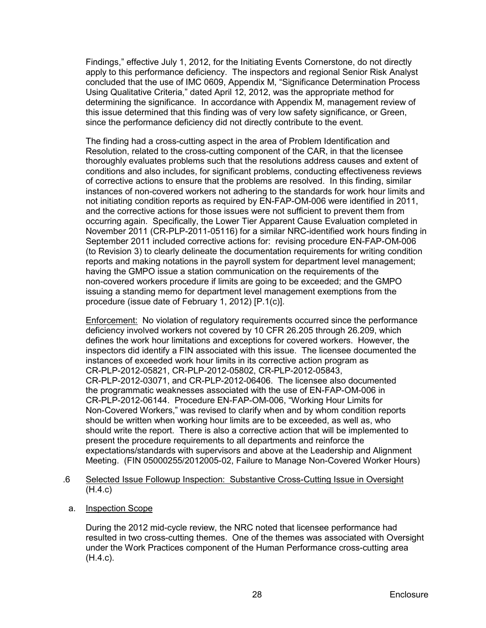Findings," effective July 1, 2012, for the Initiating Events Cornerstone, do not directly apply to this performance deficiency. The inspectors and regional Senior Risk Analyst concluded that the use of IMC 0609, Appendix M, "Significance Determination Process Using Qualitative Criteria," dated April 12, 2012, was the appropriate method for determining the significance. In accordance with Appendix M, management review of this issue determined that this finding was of very low safety significance, or Green, since the performance deficiency did not directly contribute to the event.

The finding had a cross-cutting aspect in the area of Problem Identification and Resolution, related to the cross-cutting component of the CAR, in that the licensee thoroughly evaluates problems such that the resolutions address causes and extent of conditions and also includes, for significant problems, conducting effectiveness reviews of corrective actions to ensure that the problems are resolved. In this finding, similar instances of non-covered workers not adhering to the standards for work hour limits and not initiating condition reports as required by EN-FAP-OM-006 were identified in 2011, and the corrective actions for those issues were not sufficient to prevent them from occurring again. Specifically, the Lower Tier Apparent Cause Evaluation completed in November 2011 (CR-PLP-2011-05116) for a similar NRC-identified work hours finding in September 2011 included corrective actions for: revising procedure EN-FAP-OM-006 (to Revision 3) to clearly delineate the documentation requirements for writing condition reports and making notations in the payroll system for department level management; having the GMPO issue a station communication on the requirements of the non-covered workers procedure if limits are going to be exceeded; and the GMPO issuing a standing memo for department level management exemptions from the procedure (issue date of February 1, 2012) [P.1(c)].

Enforcement: No violation of regulatory requirements occurred since the performance deficiency involved workers not covered by 10 CFR 26.205 through 26.209, which defines the work hour limitations and exceptions for covered workers. However, the inspectors did identify a FIN associated with this issue. The licensee documented the instances of exceeded work hour limits in its corrective action program as CR-PLP-2012-05821, CR-PLP-2012-05802, CR-PLP-2012-05843, CR-PLP-2012-03071, and CR-PLP-2012-06406. The licensee also documented the programmatic weaknesses associated with the use of EN-FAP-OM-006 in CR-PLP-2012-06144. Procedure EN-FAP-OM-006, "Working Hour Limits for Non-Covered Workers," was revised to clarify when and by whom condition reports should be written when working hour limits are to be exceeded, as well as, who should write the report. There is also a corrective action that will be implemented to present the procedure requirements to all departments and reinforce the expectations/standards with supervisors and above at the Leadership and Alignment Meeting. (FIN 05000255/2012005-02, Failure to Manage Non-Covered Worker Hours)

- .6 Selected Issue Followup Inspection: Substantive Cross-Cutting Issue in Oversight (H.4.c)
- a. Inspection Scope

During the 2012 mid-cycle review, the NRC noted that licensee performance had resulted in two cross-cutting themes. One of the themes was associated with Oversight under the Work Practices component of the Human Performance cross-cutting area (H.4.c).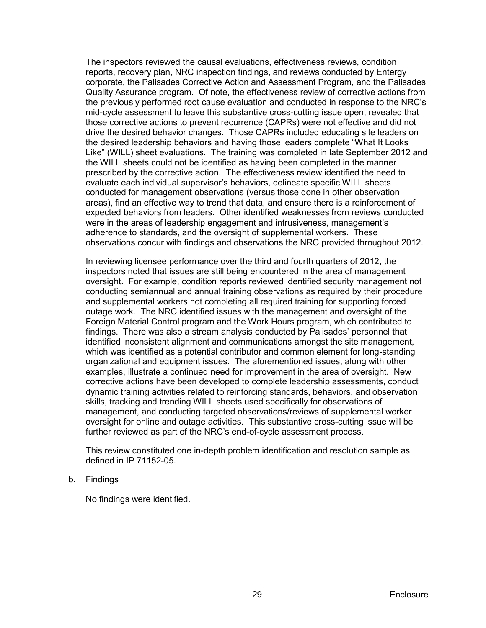The inspectors reviewed the causal evaluations, effectiveness reviews, condition reports, recovery plan, NRC inspection findings, and reviews conducted by Entergy corporate, the Palisades Corrective Action and Assessment Program, and the Palisades Quality Assurance program. Of note, the effectiveness review of corrective actions from the previously performed root cause evaluation and conducted in response to the NRC's mid-cycle assessment to leave this substantive cross-cutting issue open, revealed that those corrective actions to prevent recurrence (CAPRs) were not effective and did not drive the desired behavior changes. Those CAPRs included educating site leaders on the desired leadership behaviors and having those leaders complete "What It Looks Like" (WILL) sheet evaluations. The training was completed in late September 2012 and the WILL sheets could not be identified as having been completed in the manner prescribed by the corrective action. The effectiveness review identified the need to evaluate each individual supervisor's behaviors, delineate specific WILL sheets conducted for management observations (versus those done in other observation areas), find an effective way to trend that data, and ensure there is a reinforcement of expected behaviors from leaders. Other identified weaknesses from reviews conducted were in the areas of leadership engagement and intrusiveness, management's adherence to standards, and the oversight of supplemental workers. These observations concur with findings and observations the NRC provided throughout 2012.

In reviewing licensee performance over the third and fourth quarters of 2012, the inspectors noted that issues are still being encountered in the area of management oversight. For example, condition reports reviewed identified security management not conducting semiannual and annual training observations as required by their procedure and supplemental workers not completing all required training for supporting forced outage work. The NRC identified issues with the management and oversight of the Foreign Material Control program and the Work Hours program, which contributed to findings. There was also a stream analysis conducted by Palisades' personnel that identified inconsistent alignment and communications amongst the site management, which was identified as a potential contributor and common element for long-standing organizational and equipment issues. The aforementioned issues, along with other examples, illustrate a continued need for improvement in the area of oversight. New corrective actions have been developed to complete leadership assessments, conduct dynamic training activities related to reinforcing standards, behaviors, and observation skills, tracking and trending WILL sheets used specifically for observations of management, and conducting targeted observations/reviews of supplemental worker oversight for online and outage activities. This substantive cross-cutting issue will be further reviewed as part of the NRC's end-of-cycle assessment process.

This review constituted one in-depth problem identification and resolution sample as defined in IP 71152-05.

#### b. Findings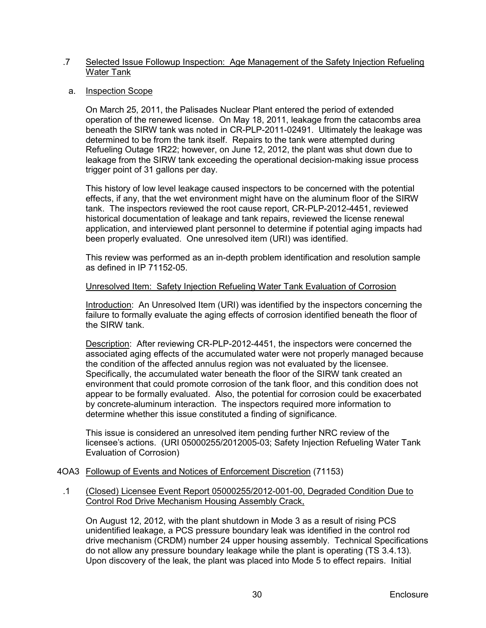### .7 Selected Issue Followup Inspection: Age Management of the Safety Injection Refueling Water Tank

### a. Inspection Scope

On March 25, 2011, the Palisades Nuclear Plant entered the period of extended operation of the renewed license. On May 18, 2011, leakage from the catacombs area beneath the SIRW tank was noted in CR-PLP-2011-02491. Ultimately the leakage was determined to be from the tank itself. Repairs to the tank were attempted during Refueling Outage 1R22; however, on June 12, 2012, the plant was shut down due to leakage from the SIRW tank exceeding the operational decision-making issue process trigger point of 31 gallons per day.

This history of low level leakage caused inspectors to be concerned with the potential effects, if any, that the wet environment might have on the aluminum floor of the SIRW tank. The inspectors reviewed the root cause report, CR-PLP-2012-4451, reviewed historical documentation of leakage and tank repairs, reviewed the license renewal application, and interviewed plant personnel to determine if potential aging impacts had been properly evaluated. One unresolved item (URI) was identified.

This review was performed as an in-depth problem identification and resolution sample as defined in IP 71152-05.

#### Unresolved Item: Safety Injection Refueling Water Tank Evaluation of Corrosion

Introduction: An Unresolved Item (URI) was identified by the inspectors concerning the failure to formally evaluate the aging effects of corrosion identified beneath the floor of the SIRW tank.

Description: After reviewing CR-PLP-2012-4451, the inspectors were concerned the associated aging effects of the accumulated water were not properly managed because the condition of the affected annulus region was not evaluated by the licensee. Specifically, the accumulated water beneath the floor of the SIRW tank created an environment that could promote corrosion of the tank floor, and this condition does not appear to be formally evaluated. Also, the potential for corrosion could be exacerbated by concrete-aluminum interaction. The inspectors required more information to determine whether this issue constituted a finding of significance.

This issue is considered an unresolved item pending further NRC review of the licensee's actions. (URI 05000255/2012005-03; Safety Injection Refueling Water Tank Evaluation of Corrosion)

#### <span id="page-33-0"></span>4OA3 Followup of Events and Notices of Enforcement Discretion (71153)

### .1 (Closed) Licensee Event Report 05000255/2012-001-00, Degraded Condition Due to Control Rod Drive Mechanism Housing Assembly Crack,

On August 12, 2012, with the plant shutdown in Mode 3 as a result of rising PCS unidentified leakage, a PCS pressure boundary leak was identified in the control rod drive mechanism (CRDM) number 24 upper housing assembly. Technical Specifications do not allow any pressure boundary leakage while the plant is operating (TS 3.4.13). Upon discovery of the leak, the plant was placed into Mode 5 to effect repairs. Initial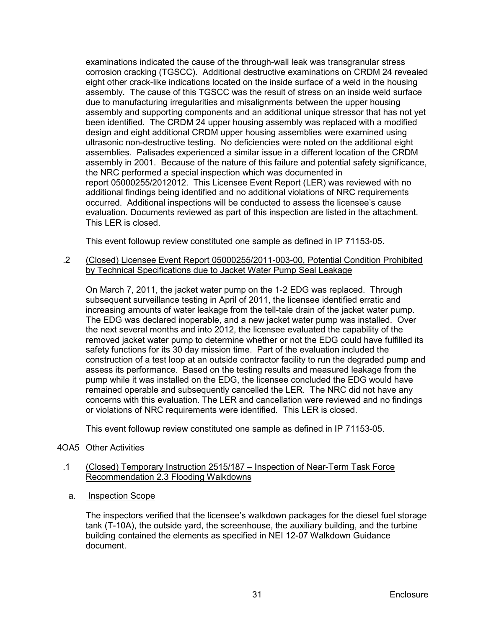examinations indicated the cause of the through-wall leak was transgranular stress corrosion cracking (TGSCC). Additional destructive examinations on CRDM 24 revealed eight other crack-like indications located on the inside surface of a weld in the housing assembly. The cause of this TGSCC was the result of stress on an inside weld surface due to manufacturing irregularities and misalignments between the upper housing assembly and supporting components and an additional unique stressor that has not yet been identified. The CRDM 24 upper housing assembly was replaced with a modified design and eight additional CRDM upper housing assemblies were examined using ultrasonic non-destructive testing. No deficiencies were noted on the additional eight assemblies. Palisades experienced a similar issue in a different location of the CRDM assembly in 2001. Because of the nature of this failure and potential safety significance, the NRC performed a special inspection which was documented in report 05000255/2012012. This Licensee Event Report (LER) was reviewed with no additional findings being identified and no additional violations of NRC requirements occurred. Additional inspections will be conducted to assess the licensee's cause evaluation. Documents reviewed as part of this inspection are listed in the attachment. This LER is closed.

This event followup review constituted one sample as defined in IP 71153-05.

## .2 (Closed) Licensee Event Report 05000255/2011-003-00, Potential Condition Prohibited by Technical Specifications due to Jacket Water Pump Seal Leakage

On March 7, 2011, the jacket water pump on the 1-2 EDG was replaced. Through subsequent surveillance testing in April of 2011, the licensee identified erratic and increasing amounts of water leakage from the tell-tale drain of the jacket water pump. The EDG was declared inoperable, and a new jacket water pump was installed. Over the next several months and into 2012, the licensee evaluated the capability of the removed jacket water pump to determine whether or not the EDG could have fulfilled its safety functions for its 30 day mission time. Part of the evaluation included the construction of a test loop at an outside contractor facility to run the degraded pump and assess its performance. Based on the testing results and measured leakage from the pump while it was installed on the EDG, the licensee concluded the EDG would have remained operable and subsequently cancelled the LER. The NRC did not have any concerns with this evaluation. The LER and cancellation were reviewed and no findings or violations of NRC requirements were identified. This LER is closed.

This event followup review constituted one sample as defined in IP 71153-05.

# <span id="page-34-0"></span>4OA5 Other Activities

### .1 (Closed) Temporary Instruction 2515/187 – Inspection of Near-Term Task Force Recommendation 2.3 Flooding Walkdowns

a. Inspection Scope

The inspectors verified that the licensee's walkdown packages for the diesel fuel storage tank (T-10A), the outside yard, the screenhouse, the auxiliary building, and the turbine building contained the elements as specified in NEI 12-07 Walkdown Guidance document.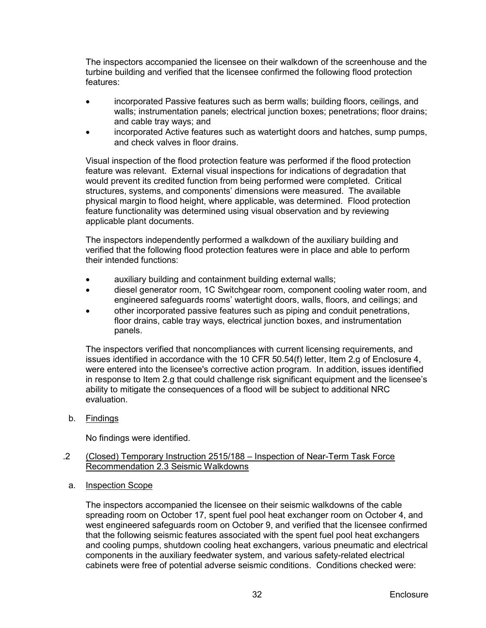The inspectors accompanied the licensee on their walkdown of the screenhouse and the turbine building and verified that the licensee confirmed the following flood protection features:

- incorporated Passive features such as berm walls; building floors, ceilings, and walls; instrumentation panels; electrical junction boxes; penetrations; floor drains; and cable tray ways; and
- incorporated Active features such as watertight doors and hatches, sump pumps, and check valves in floor drains.

Visual inspection of the flood protection feature was performed if the flood protection feature was relevant. External visual inspections for indications of degradation that would prevent its credited function from being performed were completed. Critical structures, systems, and components' dimensions were measured. The available physical margin to flood height, where applicable, was determined. Flood protection feature functionality was determined using visual observation and by reviewing applicable plant documents.

The inspectors independently performed a walkdown of the auxiliary building and verified that the following flood protection features were in place and able to perform their intended functions:

- auxiliary building and containment building external walls;
- diesel generator room, 1C Switchgear room, component cooling water room, and engineered safeguards rooms' watertight doors, walls, floors, and ceilings; and
- other incorporated passive features such as piping and conduit penetrations, floor drains, cable tray ways, electrical junction boxes, and instrumentation panels.

The inspectors verified that noncompliances with current licensing requirements, and issues identified in accordance with the 10 CFR 50.54(f) letter, Item 2.g of Enclosure 4, were entered into the licensee's corrective action program. In addition, issues identified in response to Item 2.g that could challenge risk significant equipment and the licensee's ability to mitigate the consequences of a flood will be subject to additional NRC evaluation.

b. Findings

No findings were identified.

- .2 (Closed) Temporary Instruction 2515/188 Inspection of Near-Term Task Force Recommendation 2.3 Seismic Walkdowns
- a. Inspection Scope

The inspectors accompanied the licensee on their seismic walkdowns of the cable spreading room on October 17, spent fuel pool heat exchanger room on October 4, and west engineered safeguards room on October 9, and verified that the licensee confirmed that the following seismic features associated with the spent fuel pool heat exchangers and cooling pumps, shutdown cooling heat exchangers, various pneumatic and electrical components in the auxiliary feedwater system, and various safety-related electrical cabinets were free of potential adverse seismic conditions. Conditions checked were: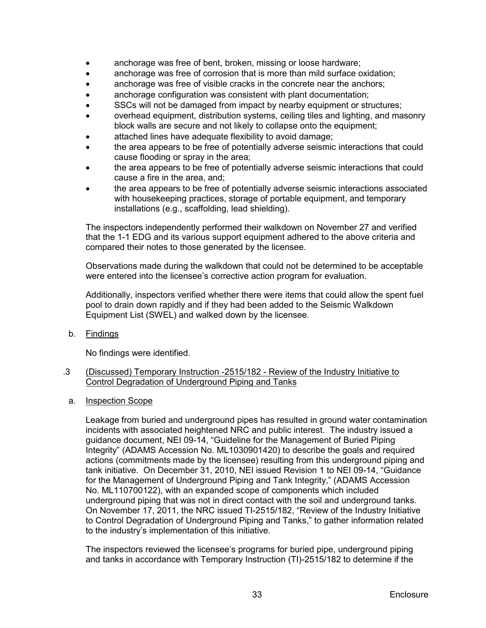- anchorage was free of bent, broken, missing or loose hardware;
- anchorage was free of corrosion that is more than mild surface oxidation;
- anchorage was free of visible cracks in the concrete near the anchors;
- anchorage configuration was consistent with plant documentation;
- SSCs will not be damaged from impact by nearby equipment or structures;
- overhead equipment, distribution systems, ceiling tiles and lighting, and masonry block walls are secure and not likely to collapse onto the equipment;
- attached lines have adequate flexibility to avoid damage;
- the area appears to be free of potentially adverse seismic interactions that could cause flooding or spray in the area;
- the area appears to be free of potentially adverse seismic interactions that could cause a fire in the area, and;
- the area appears to be free of potentially adverse seismic interactions associated with housekeeping practices, storage of portable equipment, and temporary installations (e.g., scaffolding, lead shielding).

The inspectors independently performed their walkdown on November 27 and verified that the 1-1 EDG and its various support equipment adhered to the above criteria and compared their notes to those generated by the licensee.

Observations made during the walkdown that could not be determined to be acceptable were entered into the licensee's corrective action program for evaluation.

Additionally, inspectors verified whether there were items that could allow the spent fuel pool to drain down rapidly and if they had been added to the Seismic Walkdown Equipment List (SWEL) and walked down by the licensee.

b. Findings

No findings were identified.

### .3 (Discussed) Temporary Instruction -2515/182 - Review of the Industry Initiative to Control Degradation of Underground Piping and Tanks

a. Inspection Scope

Leakage from buried and underground pipes has resulted in ground water contamination incidents with associated heightened NRC and public interest. The industry issued a guidance document, NEI 09-14, "Guideline for the Management of Buried Piping Integrity" (ADAMS Accession No. ML1030901420) to describe the goals and required actions (commitments made by the licensee) resulting from this underground piping and tank initiative. On December 31, 2010, NEI issued Revision 1 to NEI 09-14, "Guidance for the Management of Underground Piping and Tank Integrity," (ADAMS Accession No. ML110700122), with an expanded scope of components which included underground piping that was not in direct contact with the soil and underground tanks. On November 17, 2011, the NRC issued TI-2515/182, "Review of the Industry Initiative to Control Degradation of Underground Piping and Tanks," to gather information related to the industry's implementation of this initiative.

The inspectors reviewed the licensee's programs for buried pipe, underground piping and tanks in accordance with Temporary Instruction (TI)-2515/182 to determine if the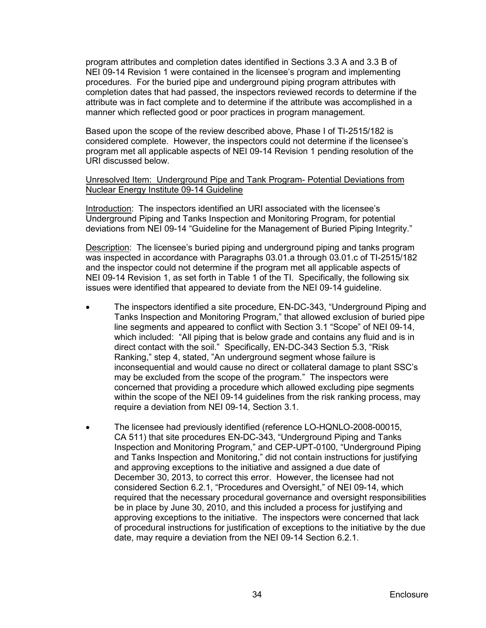program attributes and completion dates identified in Sections 3.3 A and 3.3 B of NEI 09-14 Revision 1 were contained in the licensee's program and implementing procedures. For the buried pipe and underground piping program attributes with completion dates that had passed, the inspectors reviewed records to determine if the attribute was in fact complete and to determine if the attribute was accomplished in a manner which reflected good or poor practices in program management.

Based upon the scope of the review described above, Phase I of TI-2515/182 is considered complete. However, the inspectors could not determine if the licensee's program met all applicable aspects of NEI 09-14 Revision 1 pending resolution of the URI discussed below.

### Unresolved Item: Underground Pipe and Tank Program- Potential Deviations from Nuclear Energy Institute 09-14 Guideline

Introduction: The inspectors identified an URI associated with the licensee's Underground Piping and Tanks Inspection and Monitoring Program, for potential deviations from NEI 09-14 "Guideline for the Management of Buried Piping Integrity."

**Description:** The licensee's buried piping and underground piping and tanks program was inspected in accordance with Paragraphs 03.01.a through 03.01.c of TI-2515/182 and the inspector could not determine if the program met all applicable aspects of NEI 09-14 Revision 1, as set forth in Table 1 of the TI. Specifically, the following six issues were identified that appeared to deviate from the NEI 09-14 guideline.

- The inspectors identified a site procedure, EN-DC-343, "Underground Piping and Tanks Inspection and Monitoring Program," that allowed exclusion of buried pipe line segments and appeared to conflict with Section 3.1 "Scope" of NEI 09-14, which included: "All piping that is below grade and contains any fluid and is in direct contact with the soil." Specifically, EN-DC-343 Section 5.3, "Risk Ranking," step 4, stated, "An underground segment whose failure is inconsequential and would cause no direct or collateral damage to plant SSC's may be excluded from the scope of the program." The inspectors were concerned that providing a procedure which allowed excluding pipe segments within the scope of the NEI 09-14 guidelines from the risk ranking process, may require a deviation from NEI 09-14, Section 3.1.
- The licensee had previously identified (reference LO-HQNLO-2008-00015, CA 511) that site procedures EN-DC-343, "Underground Piping and Tanks Inspection and Monitoring Program," and CEP-UPT-0100, "Underground Piping and Tanks Inspection and Monitoring," did not contain instructions for justifying and approving exceptions to the initiative and assigned a due date of December 30, 2013, to correct this error. However, the licensee had not considered Section 6.2.1, "Procedures and Oversight," of NEI 09-14, which required that the necessary procedural governance and oversight responsibilities be in place by June 30, 2010, and this included a process for justifying and approving exceptions to the initiative. The inspectors were concerned that lack of procedural instructions for justification of exceptions to the initiative by the due date, may require a deviation from the NEI 09-14 Section 6.2.1.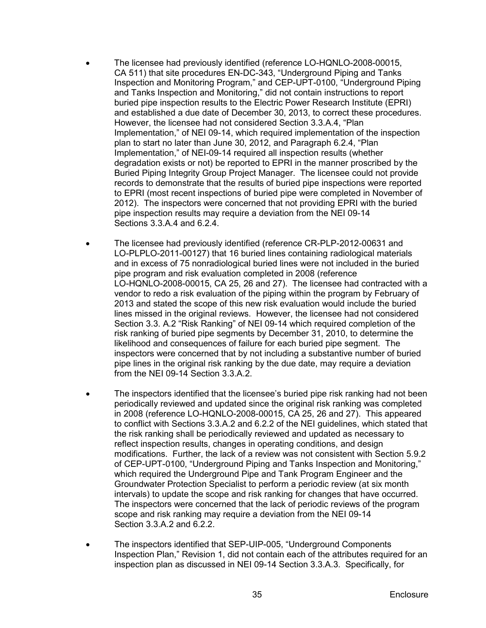- The licensee had previously identified (reference LO-HQNLO-2008-00015, CA 511) that site procedures EN-DC-343, "Underground Piping and Tanks Inspection and Monitoring Program," and CEP-UPT-0100, "Underground Piping and Tanks Inspection and Monitoring," did not contain instructions to report buried pipe inspection results to the Electric Power Research Institute (EPRI) and established a due date of December 30, 2013, to correct these procedures. However, the licensee had not considered Section 3.3.A.4, "Plan Implementation," of NEI 09-14, which required implementation of the inspection plan to start no later than June 30, 2012, and Paragraph 6.2.4, "Plan Implementation," of NEI-09-14 required all inspection results (whether degradation exists or not) be reported to EPRI in the manner proscribed by the Buried Piping Integrity Group Project Manager. The licensee could not provide records to demonstrate that the results of buried pipe inspections were reported to EPRI (most recent inspections of buried pipe were completed in November of 2012). The inspectors were concerned that not providing EPRI with the buried pipe inspection results may require a deviation from the NEI 09-14 Sections 3.3.A.4 and 6.2.4.
- The licensee had previously identified (reference CR-PLP-2012-00631 and LO-PLPLO-2011-00127) that 16 buried lines containing radiological materials and in excess of 75 nonradiological buried lines were not included in the buried pipe program and risk evaluation completed in 2008 (reference LO-HQNLO-2008-00015, CA 25, 26 and 27). The licensee had contracted with a vendor to redo a risk evaluation of the piping within the program by February of 2013 and stated the scope of this new risk evaluation would include the buried lines missed in the original reviews. However, the licensee had not considered Section 3.3. A.2 "Risk Ranking" of NEI 09-14 which required completion of the risk ranking of buried pipe segments by December 31, 2010, to determine the likelihood and consequences of failure for each buried pipe segment. The inspectors were concerned that by not including a substantive number of buried pipe lines in the original risk ranking by the due date, may require a deviation from the NEI 09-14 Section 3.3.A.2.
- The inspectors identified that the licensee's buried pipe risk ranking had not been periodically reviewed and updated since the original risk ranking was completed in 2008 (reference LO-HQNLO-2008-00015, CA 25, 26 and 27). This appeared to conflict with Sections 3.3.A.2 and 6.2.2 of the NEI guidelines, which stated that the risk ranking shall be periodically reviewed and updated as necessary to reflect inspection results, changes in operating conditions, and design modifications. Further, the lack of a review was not consistent with Section 5.9.2 of CEP-UPT-0100, "Underground Piping and Tanks Inspection and Monitoring," which required the Underground Pipe and Tank Program Engineer and the Groundwater Protection Specialist to perform a periodic review (at six month intervals) to update the scope and risk ranking for changes that have occurred. The inspectors were concerned that the lack of periodic reviews of the program scope and risk ranking may require a deviation from the NEI 09-14 Section 3.3.A.2 and 6.2.2.
- The inspectors identified that SEP-UIP-005, "Underground Components Inspection Plan," Revision 1, did not contain each of the attributes required for an inspection plan as discussed in NEI 09-14 Section 3.3.A.3. Specifically, for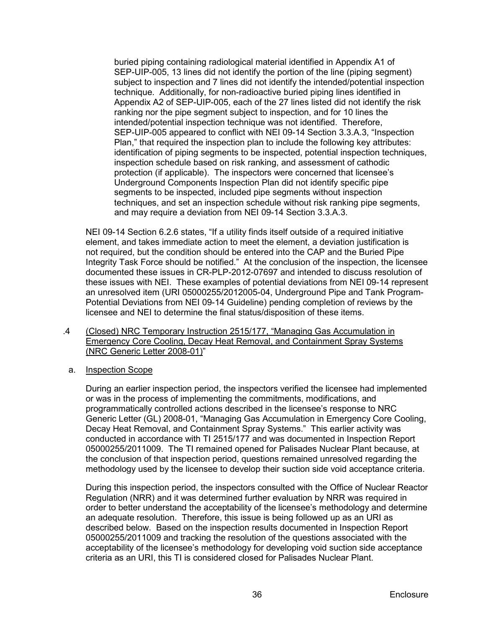buried piping containing radiological material identified in Appendix A1 of SEP-UIP-005, 13 lines did not identify the portion of the line (piping segment) subject to inspection and 7 lines did not identify the intended/potential inspection technique. Additionally, for non-radioactive buried piping lines identified in Appendix A2 of SEP-UIP-005, each of the 27 lines listed did not identify the risk ranking nor the pipe segment subject to inspection, and for 10 lines the intended/potential inspection technique was not identified. Therefore, SEP-UIP-005 appeared to conflict with NEI 09-14 Section 3.3.A.3, "Inspection Plan," that required the inspection plan to include the following key attributes: identification of piping segments to be inspected, potential inspection techniques, inspection schedule based on risk ranking, and assessment of cathodic protection (if applicable). The inspectors were concerned that licensee's Underground Components Inspection Plan did not identify specific pipe segments to be inspected, included pipe segments without inspection techniques, and set an inspection schedule without risk ranking pipe segments, and may require a deviation from NEI 09-14 Section 3.3.A.3.

NEI 09-14 Section 6.2.6 states, "If a utility finds itself outside of a required initiative element, and takes immediate action to meet the element, a deviation justification is not required, but the condition should be entered into the CAP and the Buried Pipe Integrity Task Force should be notified." At the conclusion of the inspection, the licensee documented these issues in CR-PLP-2012-07697 and intended to discuss resolution of these issues with NEI. These examples of potential deviations from NEI 09-14 represent an unresolved item (URI 05000255/2012005-04, Underground Pipe and Tank Program-Potential Deviations from NEI 09-14 Guideline) pending completion of reviews by the licensee and NEI to determine the final status/disposition of these items.

- .4 (Closed) NRC Temporary Instruction 2515/177, "Managing Gas Accumulation in Emergency Core Cooling, Decay Heat Removal, and Containment Spray Systems (NRC Generic Letter 2008-01)"
	- a. Inspection Scope

During an earlier inspection period, the inspectors verified the licensee had implemented or was in the process of implementing the commitments, modifications, and programmatically controlled actions described in the licensee's response to NRC Generic Letter (GL) 2008-01, "Managing Gas Accumulation in Emergency Core Cooling, Decay Heat Removal, and Containment Spray Systems." This earlier activity was conducted in accordance with TI 2515/177 and was documented in Inspection Report 05000255/2011009. The TI remained opened for Palisades Nuclear Plant because, at the conclusion of that inspection period, questions remained unresolved regarding the methodology used by the licensee to develop their suction side void acceptance criteria.

During this inspection period, the inspectors consulted with the Office of Nuclear Reactor Regulation (NRR) and it was determined further evaluation by NRR was required in order to better understand the acceptability of the licensee's methodology and determine an adequate resolution. Therefore, this issue is being followed up as an URI as described below. Based on the inspection results documented in Inspection Report 05000255/2011009 and tracking the resolution of the questions associated with the acceptability of the licensee's methodology for developing void suction side acceptance criteria as an URI, this TI is considered closed for Palisades Nuclear Plant.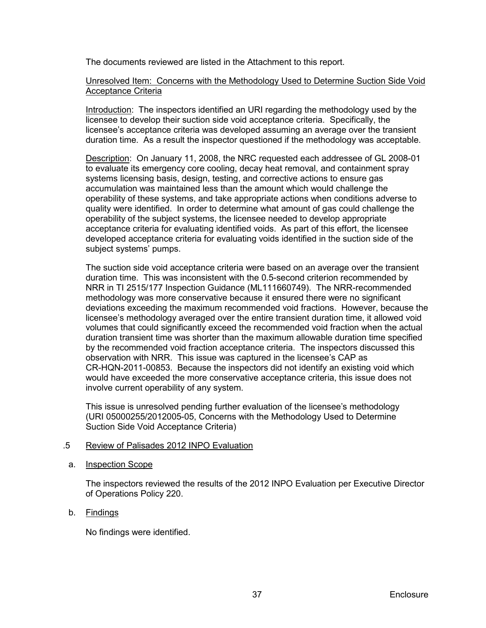The documents reviewed are listed in the Attachment to this report.

## Unresolved Item: Concerns with the Methodology Used to Determine Suction Side Void Acceptance Criteria

Introduction: The inspectors identified an URI regarding the methodology used by the licensee to develop their suction side void acceptance criteria. Specifically, the licensee's acceptance criteria was developed assuming an average over the transient duration time. As a result the inspector questioned if the methodology was acceptable.

Description: On January 11, 2008, the NRC requested each addressee of GL 2008-01 to evaluate its emergency core cooling, decay heat removal, and containment spray systems licensing basis, design, testing, and corrective actions to ensure gas accumulation was maintained less than the amount which would challenge the operability of these systems, and take appropriate actions when conditions adverse to quality were identified. In order to determine what amount of gas could challenge the operability of the subject systems, the licensee needed to develop appropriate acceptance criteria for evaluating identified voids. As part of this effort, the licensee developed acceptance criteria for evaluating voids identified in the suction side of the subject systems' pumps.

The suction side void acceptance criteria were based on an average over the transient duration time. This was inconsistent with the 0.5-second criterion recommended by NRR in TI 2515/177 Inspection Guidance (ML111660749). The NRR-recommended methodology was more conservative because it ensured there were no significant deviations exceeding the maximum recommended void fractions. However, because the licensee's methodology averaged over the entire transient duration time, it allowed void volumes that could significantly exceed the recommended void fraction when the actual duration transient time was shorter than the maximum allowable duration time specified by the recommended void fraction acceptance criteria. The inspectors discussed this observation with NRR. This issue was captured in the licensee's CAP as CR-HQN-2011-00853. Because the inspectors did not identify an existing void which would have exceeded the more conservative acceptance criteria, this issue does not involve current operability of any system.

This issue is unresolved pending further evaluation of the licensee's methodology (URI 05000255/2012005-05, Concerns with the Methodology Used to Determine Suction Side Void Acceptance Criteria)

#### .5 Review of Palisades 2012 INPO Evaluation

#### a. Inspection Scope

The inspectors reviewed the results of the 2012 INPO Evaluation per Executive Director of Operations Policy 220.

#### b. Findings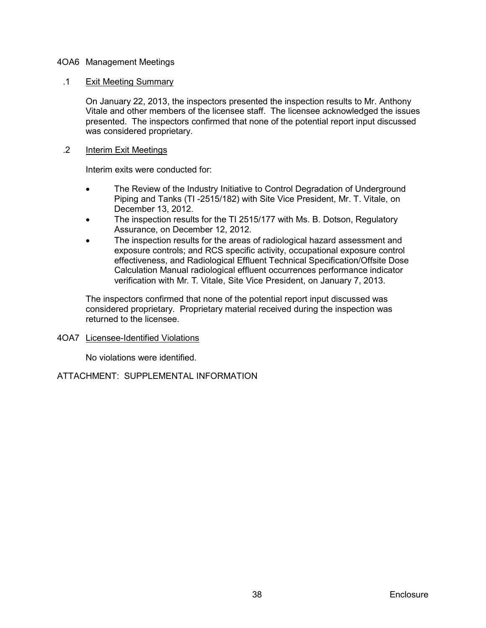## <span id="page-41-0"></span>4OA6 Management Meetings

### .1 Exit Meeting Summary

On January 22, 2013, the inspectors presented the inspection results to Mr. Anthony Vitale and other members of the licensee staff. The licensee acknowledged the issues presented. The inspectors confirmed that none of the potential report input discussed was considered proprietary.

### .2 Interim Exit Meetings

Interim exits were conducted for:

- The Review of the Industry Initiative to Control Degradation of Underground Piping and Tanks (TI -2515/182) with Site Vice President, Mr. T. Vitale, on December 13, 2012.
- The inspection results for the TI 2515/177 with Ms. B. Dotson, Regulatory Assurance, on December 12, 2012.
- The inspection results for the areas of radiological hazard assessment and exposure controls; and RCS specific activity, occupational exposure control effectiveness, and Radiological Effluent Technical Specification/Offsite Dose Calculation Manual radiological effluent occurrences performance indicator verification with Mr. T. Vitale, Site Vice President, on January 7, 2013.

The inspectors confirmed that none of the potential report input discussed was considered proprietary. Proprietary material received during the inspection was returned to the licensee.

#### <span id="page-41-1"></span>4OA7 Licensee-Identified Violations

No violations were identified.

# ATTACHMENT: SUPPLEMENTAL INFORMATION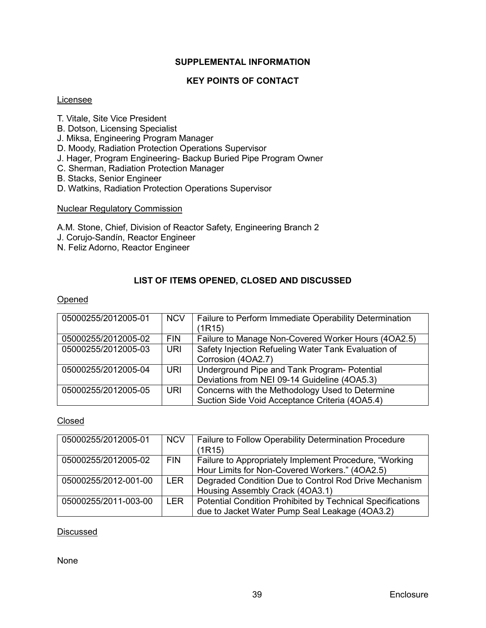# **SUPPLEMENTAL INFORMATION**

# **KEY POINTS OF CONTACT**

### <span id="page-42-1"></span><span id="page-42-0"></span>Licensee

- T. Vitale, Site Vice President
- B. Dotson, Licensing Specialist
- J. Miksa, Engineering Program Manager
- D. Moody, Radiation Protection Operations Supervisor
- J. Hager, Program Engineering- Backup Buried Pipe Program Owner
- C. Sherman, Radiation Protection Manager
- B. Stacks, Senior Engineer
- D. Watkins, Radiation Protection Operations Supervisor

#### Nuclear Regulatory Commission

A.M. Stone, Chief, Division of Reactor Safety, Engineering Branch 2

- J. Corujo-Sandín, Reactor Engineer
- N. Feliz Adorno, Reactor Engineer

# **LIST OF ITEMS OPENED, CLOSED AND DISCUSSED**

### <span id="page-42-2"></span>Opened

| 05000255/2012005-01 | <b>NCV</b> | Failure to Perform Immediate Operability Determination<br>(1R15)                                  |
|---------------------|------------|---------------------------------------------------------------------------------------------------|
| 05000255/2012005-02 | <b>FIN</b> | Failure to Manage Non-Covered Worker Hours (4OA2.5)                                               |
| 05000255/2012005-03 | <b>URI</b> | Safety Injection Refueling Water Tank Evaluation of<br>Corrosion (4OA2.7)                         |
| 05000255/2012005-04 | URI.       | Underground Pipe and Tank Program- Potential<br>Deviations from NEI 09-14 Guideline (4OA5.3)      |
| 05000255/2012005-05 | <b>URI</b> | Concerns with the Methodology Used to Determine<br>Suction Side Void Acceptance Criteria (4OA5.4) |

#### Closed

| 05000255/2012005-01  | <b>NCV</b> | Failure to Follow Operability Determination Procedure      |  |  |  |
|----------------------|------------|------------------------------------------------------------|--|--|--|
|                      |            | (1R15)                                                     |  |  |  |
| 05000255/2012005-02  | <b>FIN</b> | Failure to Appropriately Implement Procedure, "Working"    |  |  |  |
|                      |            | Hour Limits for Non-Covered Workers." (4OA2.5)             |  |  |  |
| 05000255/2012-001-00 | LER        | Degraded Condition Due to Control Rod Drive Mechanism      |  |  |  |
|                      |            | Housing Assembly Crack (4OA3.1)                            |  |  |  |
| 05000255/2011-003-00 | <b>LER</b> | Potential Condition Prohibited by Technical Specifications |  |  |  |
|                      |            | due to Jacket Water Pump Seal Leakage (4OA3.2)             |  |  |  |

# **Discussed**

None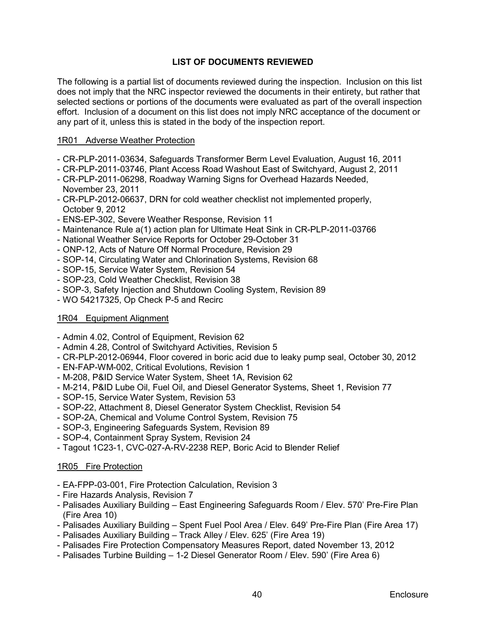# **LIST OF DOCUMENTS REVIEWED**

<span id="page-43-0"></span>The following is a partial list of documents reviewed during the inspection. Inclusion on this list does not imply that the NRC inspector reviewed the documents in their entirety, but rather that selected sections or portions of the documents were evaluated as part of the overall inspection effort. Inclusion of a document on this list does not imply NRC acceptance of the document or any part of it, unless this is stated in the body of the inspection report.

### 1R01 Adverse Weather Protection

- CR-PLP-2011-03634, Safeguards Transformer Berm Level Evaluation, August 16, 2011
- CR-PLP-2011-03746, Plant Access Road Washout East of Switchyard, August 2, 2011
- CR-PLP-2011-06298, Roadway Warning Signs for Overhead Hazards Needed, November 23, 2011
- CR-PLP-2012-06637, DRN for cold weather checklist not implemented properly, October 9, 2012
- ENS-EP-302, Severe Weather Response, Revision 11
- Maintenance Rule a(1) action plan for Ultimate Heat Sink in CR-PLP-2011-03766
- National Weather Service Reports for October 29-October 31
- ONP-12, Acts of Nature Off Normal Procedure, Revision 29
- SOP-14, Circulating Water and Chlorination Systems, Revision 68
- SOP-15, Service Water System, Revision 54
- SOP-23, Cold Weather Checklist, Revision 38
- SOP-3, Safety Injection and Shutdown Cooling System, Revision 89
- WO 54217325, Op Check P-5 and Recirc

#### 1R04 Equipment Alignment

- Admin 4.02, Control of Equipment, Revision 62
- Admin 4.28, Control of Switchyard Activities, Revision 5
- CR-PLP-2012-06944, Floor covered in boric acid due to leaky pump seal, October 30, 2012
- EN-FAP-WM-002, Critical Evolutions, Revision 1
- M-208, P&ID Service Water System, Sheet 1A, Revision 62
- M-214, P&ID Lube Oil, Fuel Oil, and Diesel Generator Systems, Sheet 1, Revision 77
- SOP-15, Service Water System, Revision 53
- SOP-22, Attachment 8, Diesel Generator System Checklist, Revision 54
- SOP-2A, Chemical and Volume Control System, Revision 75
- SOP-3, Engineering Safeguards System, Revision 89
- SOP-4, Containment Spray System, Revision 24
- Tagout 1C23-1, CVC-027-A-RV-2238 REP, Boric Acid to Blender Relief

# 1R05 Fire Protection

- EA-FPP-03-001, Fire Protection Calculation, Revision 3
- Fire Hazards Analysis, Revision 7
- Palisades Auxiliary Building East Engineering Safeguards Room / Elev. 570' Pre-Fire Plan (Fire Area 10)
- Palisades Auxiliary Building Spent Fuel Pool Area / Elev. 649' Pre-Fire Plan (Fire Area 17)
- Palisades Auxiliary Building Track Alley / Elev. 625' (Fire Area 19)
- Palisades Fire Protection Compensatory Measures Report, dated November 13, 2012
- Palisades Turbine Building 1-2 Diesel Generator Room / Elev. 590' (Fire Area 6)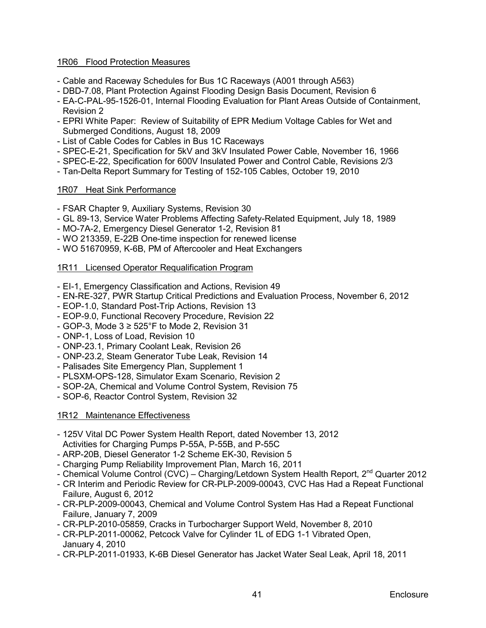# 1R06 Flood Protection Measures

- Cable and Raceway Schedules for Bus 1C Raceways (A001 through A563)
- DBD-7.08, Plant Protection Against Flooding Design Basis Document, Revision 6
- EA-C-PAL-95-1526-01, Internal Flooding Evaluation for Plant Areas Outside of Containment, Revision 2
- EPRI White Paper: Review of Suitability of EPR Medium Voltage Cables for Wet and Submerged Conditions, August 18, 2009
- List of Cable Codes for Cables in Bus 1C Raceways
- SPEC-E-21, Specification for 5kV and 3kV Insulated Power Cable, November 16, 1966
- SPEC-E-22, Specification for 600V Insulated Power and Control Cable, Revisions 2/3
- Tan-Delta Report Summary for Testing of 152-105 Cables, October 19, 2010

# 1R07 Heat Sink Performance

- FSAR Chapter 9, Auxiliary Systems, Revision 30
- GL 89-13, Service Water Problems Affecting Safety-Related Equipment, July 18, 1989
- MO-7A-2, Emergency Diesel Generator 1-2, Revision 81
- WO 213359, E-22B One-time inspection for renewed license
- WO 51670959, K-6B, PM of Aftercooler and Heat Exchangers

# 1R11 Licensed Operator Requalification Program

- EI-1, Emergency Classification and Actions, Revision 49
- EN-RE-327, PWR Startup Critical Predictions and Evaluation Process, November 6, 2012
- EOP-1.0, Standard Post-Trip Actions, Revision 13
- EOP-9.0, Functional Recovery Procedure, Revision 22
- GOP-3, Mode  $3 \ge 525$ °F to Mode 2, Revision 31
- ONP-1, Loss of Load, Revision 10
- ONP-23.1, Primary Coolant Leak, Revision 26
- ONP-23.2, Steam Generator Tube Leak, Revision 14
- Palisades Site Emergency Plan, Supplement 1
- PLSXM-OPS-128, Simulator Exam Scenario, Revision 2
- SOP-2A, Chemical and Volume Control System, Revision 75
- SOP-6, Reactor Control System, Revision 32

# 1R12 Maintenance Effectiveness

- 125V Vital DC Power System Health Report, dated November 13, 2012 Activities for Charging Pumps P-55A, P-55B, and P-55C
- ARP-20B, Diesel Generator 1-2 Scheme EK-30, Revision 5
- Charging Pump Reliability Improvement Plan, March 16, 2011
- Chemical Volume Control (CVC) Charging/Letdown System Health Report, 2<sup>nd</sup> Quarter 2012
- CR Interim and Periodic Review for CR-PLP-2009-00043, CVC Has Had a Repeat Functional Failure, August 6, 2012
- CR-PLP-2009-00043, Chemical and Volume Control System Has Had a Repeat Functional Failure, January 7, 2009
- CR-PLP-2010-05859, Cracks in Turbocharger Support Weld, November 8, 2010
- CR-PLP-2011-00062, Petcock Valve for Cylinder 1L of EDG 1-1 Vibrated Open, January 4, 2010
- CR-PLP-2011-01933, K-6B Diesel Generator has Jacket Water Seal Leak, April 18, 2011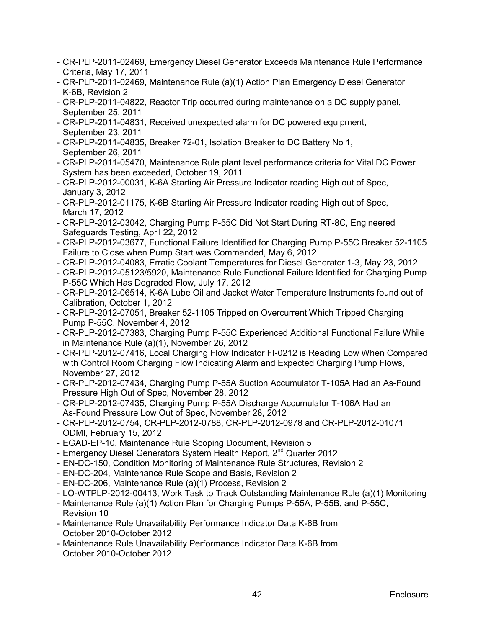- CR-PLP-2011-02469, Emergency Diesel Generator Exceeds Maintenance Rule Performance Criteria, May 17, 2011
- CR-PLP-2011-02469, Maintenance Rule (a)(1) Action Plan Emergency Diesel Generator K-6B, Revision 2
- CR-PLP-2011-04822, Reactor Trip occurred during maintenance on a DC supply panel, September 25, 2011
- CR-PLP-2011-04831, Received unexpected alarm for DC powered equipment, September 23, 2011
- CR-PLP-2011-04835, Breaker 72-01, Isolation Breaker to DC Battery No 1, September 26, 2011
- CR-PLP-2011-05470, Maintenance Rule plant level performance criteria for Vital DC Power System has been exceeded, October 19, 2011
- CR-PLP-2012-00031, K-6A Starting Air Pressure Indicator reading High out of Spec, January 3, 2012
- CR-PLP-2012-01175, K-6B Starting Air Pressure Indicator reading High out of Spec, March 17, 2012
- CR-PLP-2012-03042, Charging Pump P-55C Did Not Start During RT-8C, Engineered Safeguards Testing, April 22, 2012
- CR-PLP-2012-03677, Functional Failure Identified for Charging Pump P-55C Breaker 52-1105 Failure to Close when Pump Start was Commanded, May 6, 2012
- CR-PLP-2012-04083, Erratic Coolant Temperatures for Diesel Generator 1-3, May 23, 2012
- CR-PLP-2012-05123/5920, Maintenance Rule Functional Failure Identified for Charging Pump P-55C Which Has Degraded Flow, July 17, 2012
- CR-PLP-2012-06514, K-6A Lube Oil and Jacket Water Temperature Instruments found out of Calibration, October 1, 2012
- CR-PLP-2012-07051, Breaker 52-1105 Tripped on Overcurrent Which Tripped Charging Pump P-55C, November 4, 2012
- CR-PLP-2012-07383, Charging Pump P-55C Experienced Additional Functional Failure While in Maintenance Rule (a)(1), November 26, 2012
- CR-PLP-2012-07416, Local Charging Flow Indicator FI-0212 is Reading Low When Compared with Control Room Charging Flow Indicating Alarm and Expected Charging Pump Flows, November 27, 2012
- CR-PLP-2012-07434, Charging Pump P-55A Suction Accumulator T-105A Had an As-Found Pressure High Out of Spec, November 28, 2012
- CR-PLP-2012-07435, Charging Pump P-55A Discharge Accumulator T-106A Had an As-Found Pressure Low Out of Spec, November 28, 2012
- CR-PLP-2012-0754, CR-PLP-2012-0788, CR-PLP-2012-0978 and CR-PLP-2012-01071 ODMI, February 15, 2012
- EGAD-EP-10, Maintenance Rule Scoping Document, Revision 5
- Emergency Diesel Generators System Health Report, 2<sup>nd</sup> Quarter 2012
- EN-DC-150, Condition Monitoring of Maintenance Rule Structures, Revision 2
- EN-DC-204, Maintenance Rule Scope and Basis, Revision 2
- EN-DC-206, Maintenance Rule (a)(1) Process, Revision 2
- LO-WTPLP-2012-00413, Work Task to Track Outstanding Maintenance Rule (a)(1) Monitoring
- Maintenance Rule (a)(1) Action Plan for Charging Pumps P-55A, P-55B, and P-55C, Revision 10
- Maintenance Rule Unavailability Performance Indicator Data K-6B from October 2010-October 2012
- Maintenance Rule Unavailability Performance Indicator Data K-6B from October 2010-October 2012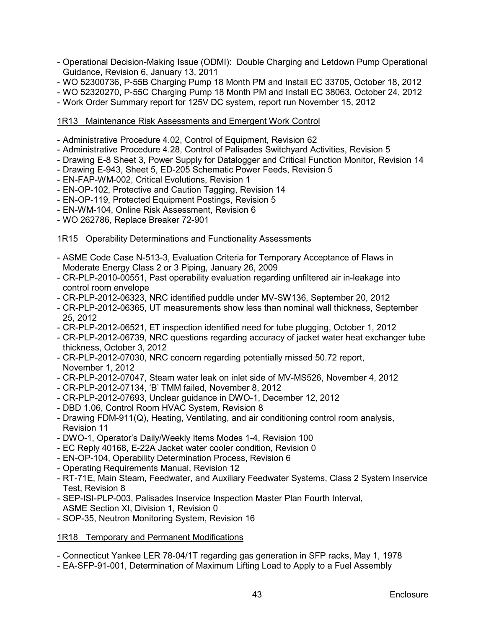- Operational Decision-Making Issue (ODMI): Double Charging and Letdown Pump Operational Guidance, Revision 6, January 13, 2011
- WO 52300736, P-55B Charging Pump 18 Month PM and Install EC 33705, October 18, 2012
- WO 52320270, P-55C Charging Pump 18 Month PM and Install EC 38063, October 24, 2012
- Work Order Summary report for 125V DC system, report run November 15, 2012

# 1R13 Maintenance Risk Assessments and Emergent Work Control

- Administrative Procedure 4.02, Control of Equipment, Revision 62
- Administrative Procedure 4.28, Control of Palisades Switchyard Activities, Revision 5
- Drawing E-8 Sheet 3, Power Supply for Datalogger and Critical Function Monitor, Revision 14
- Drawing E-943, Sheet 5, ED-205 Schematic Power Feeds, Revision 5
- EN-FAP-WM-002, Critical Evolutions, Revision 1
- EN-OP-102, Protective and Caution Tagging, Revision 14
- EN-OP-119, Protected Equipment Postings, Revision 5
- EN-WM-104, Online Risk Assessment, Revision 6
- WO 262786, Replace Breaker 72-901

### 1R15 Operability Determinations and Functionality Assessments

- ASME Code Case N-513-3, Evaluation Criteria for Temporary Acceptance of Flaws in Moderate Energy Class 2 or 3 Piping, January 26, 2009
- CR-PLP-2010-00551, Past operability evaluation regarding unfiltered air in-leakage into control room envelope
- CR-PLP-2012-06323, NRC identified puddle under MV-SW136, September 20, 2012
- CR-PLP-2012-06365, UT measurements show less than nominal wall thickness, September 25, 2012
- CR-PLP-2012-06521, ET inspection identified need for tube plugging, October 1, 2012
- CR-PLP-2012-06739, NRC questions regarding accuracy of jacket water heat exchanger tube thickness, October 3, 2012
- CR-PLP-2012-07030, NRC concern regarding potentially missed 50.72 report, November 1, 2012
- CR-PLP-2012-07047, Steam water leak on inlet side of MV-MS526, November 4, 2012
- CR-PLP-2012-07134, 'B' TMM failed, November 8, 2012
- CR-PLP-2012-07693, Unclear guidance in DWO-1, December 12, 2012
- DBD 1.06, Control Room HVAC System, Revision 8
- Drawing FDM-911(Q), Heating, Ventilating, and air conditioning control room analysis, Revision 11
- DWO-1, Operator's Daily/Weekly Items Modes 1-4, Revision 100
- EC Reply 40168, E-22A Jacket water cooler condition, Revision 0
- EN-OP-104, Operability Determination Process, Revision 6
- Operating Requirements Manual, Revision 12
- RT-71E, Main Steam, Feedwater, and Auxiliary Feedwater Systems, Class 2 System Inservice Test, Revision 8
- SEP-ISI-PLP-003, Palisades Inservice Inspection Master Plan Fourth Interval, ASME Section XI, Division 1, Revision 0
- SOP-35, Neutron Monitoring System, Revision 16

#### 1R18 Temporary and Permanent Modifications

- Connecticut Yankee LER 78-04/1T regarding gas generation in SFP racks, May 1, 1978

- EA-SFP-91-001, Determination of Maximum Lifting Load to Apply to a Fuel Assembly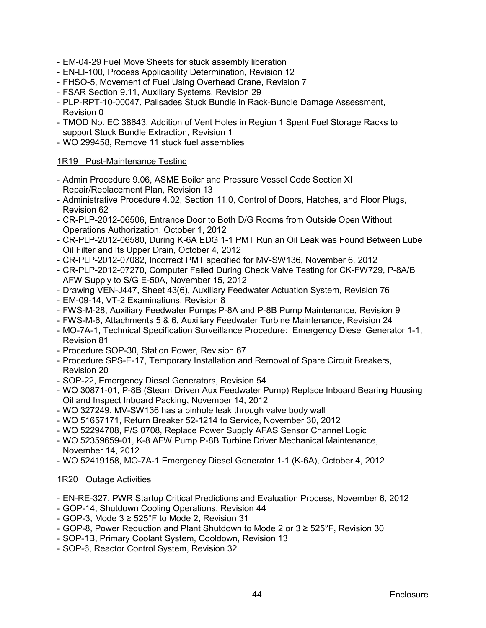- EM-04-29 Fuel Move Sheets for stuck assembly liberation
- EN-LI-100, Process Applicability Determination, Revision 12
- FHSO-5, Movement of Fuel Using Overhead Crane, Revision 7
- FSAR Section 9.11, Auxiliary Systems, Revision 29
- PLP-RPT-10-00047, Palisades Stuck Bundle in Rack-Bundle Damage Assessment, Revision 0
- TMOD No. EC 38643, Addition of Vent Holes in Region 1 Spent Fuel Storage Racks to support Stuck Bundle Extraction, Revision 1
- WO 299458, Remove 11 stuck fuel assemblies

## 1R19 Post-Maintenance Testing

- Admin Procedure 9.06, ASME Boiler and Pressure Vessel Code Section XI Repair/Replacement Plan, Revision 13
- Administrative Procedure 4.02, Section 11.0, Control of Doors, Hatches, and Floor Plugs, Revision 62
- CR-PLP-2012-06506, Entrance Door to Both D/G Rooms from Outside Open Without Operations Authorization, October 1, 2012
- CR-PLP-2012-06580, During K-6A EDG 1-1 PMT Run an Oil Leak was Found Between Lube Oil Filter and Its Upper Drain, October 4, 2012
- CR-PLP-2012-07082, Incorrect PMT specified for MV-SW136, November 6, 2012
- CR-PLP-2012-07270, Computer Failed During Check Valve Testing for CK-FW729, P-8A/B AFW Supply to S/G E-50A, November 15, 2012
- Drawing VEN-J447, Sheet 43(6), Auxiliary Feedwater Actuation System, Revision 76
- EM-09-14, VT-2 Examinations, Revision 8
- FWS-M-28, Auxiliary Feedwater Pumps P-8A and P-8B Pump Maintenance, Revision 9
- FWS-M-6, Attachments 5 & 6, Auxiliary Feedwater Turbine Maintenance, Revision 24
- MO-7A-1, Technical Specification Surveillance Procedure: Emergency Diesel Generator 1-1, Revision 81
- Procedure SOP-30, Station Power, Revision 67
- Procedure SPS-E-17, Temporary Installation and Removal of Spare Circuit Breakers, Revision 20
- SOP-22, Emergency Diesel Generators, Revision 54
- WO 30871-01, P-8B (Steam Driven Aux Feedwater Pump) Replace Inboard Bearing Housing Oil and Inspect Inboard Packing, November 14, 2012
- WO 327249, MV-SW136 has a pinhole leak through valve body wall
- WO 51657171, Return Breaker 52-1214 to Service, November 30, 2012
- WO 52294708, P/S 0708, Replace Power Supply AFAS Sensor Channel Logic
- WO 52359659-01, K-8 AFW Pump P-8B Turbine Driver Mechanical Maintenance, November 14, 2012
- WO 52419158, MO-7A-1 Emergency Diesel Generator 1-1 (K-6A), October 4, 2012

#### 1R20 Outage Activities

- EN-RE-327, PWR Startup Critical Predictions and Evaluation Process, November 6, 2012
- GOP-14, Shutdown Cooling Operations, Revision 44
- GOP-3, Mode  $3 \ge 525$ °F to Mode 2, Revision 31
- GOP-8, Power Reduction and Plant Shutdown to Mode 2 or 3 ≥ 525°F, Revision 30
- SOP-1B, Primary Coolant System, Cooldown, Revision 13
- SOP-6, Reactor Control System, Revision 32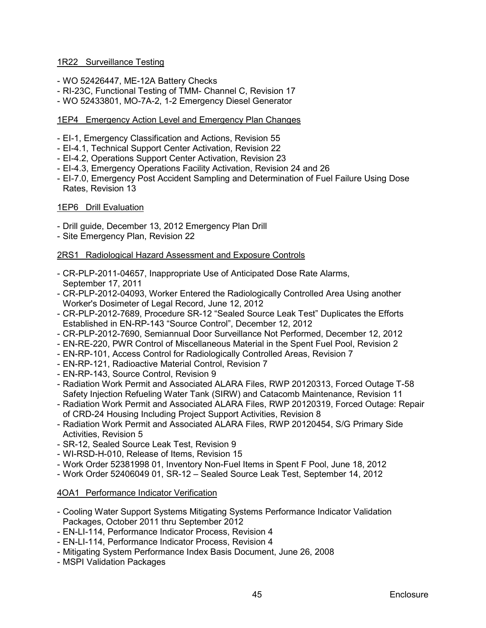## 1R22 Surveillance Testing

- WO 52426447, ME-12A Battery Checks
- RI-23C, Functional Testing of TMM- Channel C, Revision 17
- WO 52433801, MO-7A-2, 1-2 Emergency Diesel Generator

# 1EP4 Emergency Action Level and Emergency Plan Changes

- EI-1, Emergency Classification and Actions, Revision 55
- EI-4.1, Technical Support Center Activation, Revision 22
- EI-4.2, Operations Support Center Activation, Revision 23
- EI-4.3, Emergency Operations Facility Activation, Revision 24 and 26
- EI-7.0, Emergency Post Accident Sampling and Determination of Fuel Failure Using Dose Rates, Revision 13

### 1EP6 Drill Evaluation

- Drill guide, December 13, 2012 Emergency Plan Drill
- Site Emergency Plan, Revision 22

# 2RS1 Radiological Hazard Assessment and Exposure Controls

- CR-PLP-2011-04657, Inappropriate Use of Anticipated Dose Rate Alarms, September 17, 2011
- CR-PLP-2012-04093, Worker Entered the Radiologically Controlled Area Using another Worker's Dosimeter of Legal Record, June 12, 2012
- CR-PLP-2012-7689, Procedure SR-12 "Sealed Source Leak Test" Duplicates the Efforts Established in EN-RP-143 "Source Control", December 12, 2012
- CR-PLP-2012-7690, Semiannual Door Surveillance Not Performed, December 12, 2012
- EN-RE-220, PWR Control of Miscellaneous Material in the Spent Fuel Pool, Revision 2
- EN-RP-101, Access Control for Radiologically Controlled Areas, Revision 7
- EN-RP-121, Radioactive Material Control, Revision 7
- EN-RP-143, Source Control, Revision 9
- Radiation Work Permit and Associated ALARA Files, RWP 20120313, Forced Outage T-58 Safety Injection Refueling Water Tank (SIRW) and Catacomb Maintenance, Revision 11
- Radiation Work Permit and Associated ALARA Files, RWP 20120319, Forced Outage: Repair of CRD-24 Housing Including Project Support Activities, Revision 8
- Radiation Work Permit and Associated ALARA Files, RWP 20120454, S/G Primary Side Activities, Revision 5
- SR-12, Sealed Source Leak Test, Revision 9
- WI-RSD-H-010, Release of Items, Revision 15
- Work Order 52381998 01, Inventory Non-Fuel Items in Spent F Pool, June 18, 2012
- Work Order 52406049 01, SR-12 Sealed Source Leak Test, September 14, 2012

# 4OA1 Performance Indicator Verification

- Cooling Water Support Systems Mitigating Systems Performance Indicator Validation Packages, October 2011 thru September 2012
- EN-LI-114, Performance Indicator Process, Revision 4
- EN-LI-114, Performance Indicator Process, Revision 4
- Mitigating System Performance Index Basis Document, June 26, 2008
- MSPI Validation Packages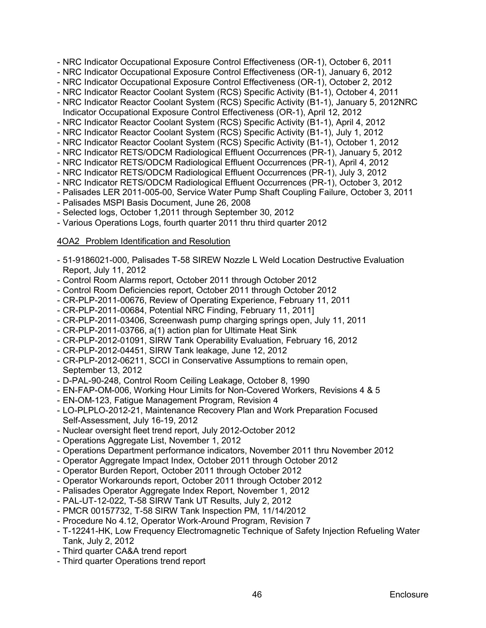- NRC Indicator Occupational Exposure Control Effectiveness (OR-1), October 6, 2011
- NRC Indicator Occupational Exposure Control Effectiveness (OR-1), January 6, 2012
- NRC Indicator Occupational Exposure Control Effectiveness (OR-1), October 2, 2012
- NRC Indicator Reactor Coolant System (RCS) Specific Activity (B1-1), October 4, 2011
- NRC Indicator Reactor Coolant System (RCS) Specific Activity (B1-1), January 5, 2012NRC Indicator Occupational Exposure Control Effectiveness (OR-1), April 12, 2012
- NRC Indicator Reactor Coolant System (RCS) Specific Activity (B1-1), April 4, 2012
- NRC Indicator Reactor Coolant System (RCS) Specific Activity (B1-1), July 1, 2012
- NRC Indicator Reactor Coolant System (RCS) Specific Activity (B1-1), October 1, 2012
- NRC Indicator RETS/ODCM Radiological Effluent Occurrences (PR-1), January 5, 2012
- NRC Indicator RETS/ODCM Radiological Effluent Occurrences (PR-1), April 4, 2012
- NRC Indicator RETS/ODCM Radiological Effluent Occurrences (PR-1), July 3, 2012
- NRC Indicator RETS/ODCM Radiological Effluent Occurrences (PR-1), October 3, 2012
- Palisades LER 2011-005-00, Service Water Pump Shaft Coupling Failure, October 3, 2011
- Palisades MSPI Basis Document, June 26, 2008
- Selected logs, October 1,2011 through September 30, 2012
- Various Operations Logs, fourth quarter 2011 thru third quarter 2012

# 4OA2 Problem Identification and Resolution

- 51-9186021-000, Palisades T-58 SIREW Nozzle L Weld Location Destructive Evaluation Report, July 11, 2012
- Control Room Alarms report, October 2011 through October 2012
- Control Room Deficiencies report, October 2011 through October 2012
- CR-PLP-2011-00676, Review of Operating Experience, February 11, 2011
- CR-PLP-2011-00684, Potential NRC Finding, February 11, 2011]
- CR-PLP-2011-03406, Screenwash pump charging springs open, July 11, 2011
- CR-PLP-2011-03766, a(1) action plan for Ultimate Heat Sink
- CR-PLP-2012-01091, SIRW Tank Operability Evaluation, February 16, 2012
- CR-PLP-2012-04451, SIRW Tank leakage, June 12, 2012
- CR-PLP-2012-06211, SCCI in Conservative Assumptions to remain open, September 13, 2012
- D-PAL-90-248, Control Room Ceiling Leakage, October 8, 1990
- EN-FAP-OM-006, Working Hour Limits for Non-Covered Workers, Revisions 4 & 5
- EN-OM-123, Fatigue Management Program, Revision 4
- LO-PLPLO-2012-21, Maintenance Recovery Plan and Work Preparation Focused Self-Assessment, July 16-19, 2012
- Nuclear oversight fleet trend report, July 2012-October 2012
- Operations Aggregate List, November 1, 2012
- Operations Department performance indicators, November 2011 thru November 2012
- Operator Aggregate Impact Index, October 2011 through October 2012
- Operator Burden Report, October 2011 through October 2012
- Operator Workarounds report, October 2011 through October 2012
- Palisades Operator Aggregate Index Report, November 1, 2012
- PAL-UT-12-022, T-58 SIRW Tank UT Results, July 2, 2012
- PMCR 00157732, T-58 SIRW Tank Inspection PM, 11/14/2012
- Procedure No 4.12, Operator Work-Around Program, Revision 7
- T-12241-HK, Low Frequency Electromagnetic Technique of Safety Injection Refueling Water Tank, July 2, 2012
- Third quarter CA&A trend report
- Third quarter Operations trend report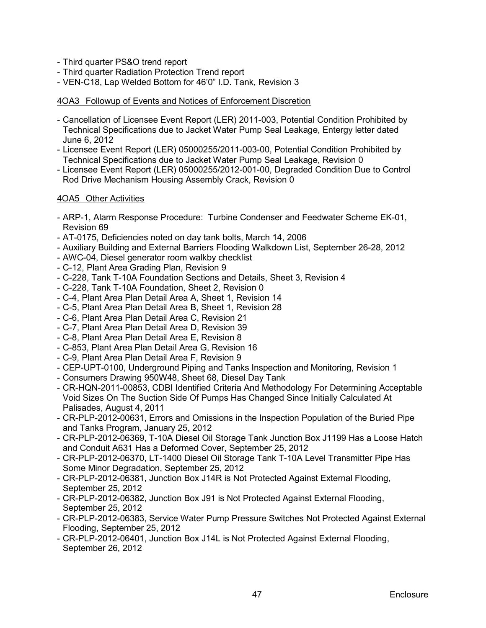- Third quarter PS&O trend report
- Third quarter Radiation Protection Trend report
- VEN-C18, Lap Welded Bottom for 46'0" I.D. Tank, Revision 3

# 4OA3 Followup of Events and Notices of Enforcement Discretion

- Cancellation of Licensee Event Report (LER) 2011-003, Potential Condition Prohibited by Technical Specifications due to Jacket Water Pump Seal Leakage, Entergy letter dated June 6, 2012
- Licensee Event Report (LER) 05000255/2011-003-00, Potential Condition Prohibited by Technical Specifications due to Jacket Water Pump Seal Leakage, Revision 0
- Licensee Event Report (LER) 05000255/2012-001-00, Degraded Condition Due to Control Rod Drive Mechanism Housing Assembly Crack, Revision 0

# 4OA5 Other Activities

- ARP-1, Alarm Response Procedure: Turbine Condenser and Feedwater Scheme EK-01, Revision 69
- AT-0175, Deficiencies noted on day tank bolts, March 14, 2006
- Auxiliary Building and External Barriers Flooding Walkdown List, September 26-28, 2012
- AWC-04, Diesel generator room walkby checklist
- C-12, Plant Area Grading Plan, Revision 9
- C-228, Tank T-10A Foundation Sections and Details, Sheet 3, Revision 4
- C-228, Tank T-10A Foundation, Sheet 2, Revision 0
- C-4, Plant Area Plan Detail Area A, Sheet 1, Revision 14
- C-5, Plant Area Plan Detail Area B, Sheet 1, Revision 28
- C-6, Plant Area Plan Detail Area C, Revision 21
- C-7, Plant Area Plan Detail Area D, Revision 39
- C-8, Plant Area Plan Detail Area E, Revision 8
- C-853, Plant Area Plan Detail Area G, Revision 16
- C-9, Plant Area Plan Detail Area F, Revision 9
- CEP-UPT-0100, Underground Piping and Tanks Inspection and Monitoring, Revision 1
- Consumers Drawing 950W48, Sheet 68, Diesel Day Tank
- CR-HQN-2011-00853, CDBI Identified Criteria And Methodology For Determining Acceptable Void Sizes On The Suction Side Of Pumps Has Changed Since Initially Calculated At Palisades, August 4, 2011
- CR-PLP-2012-00631, Errors and Omissions in the Inspection Population of the Buried Pipe and Tanks Program, January 25, 2012
- CR-PLP-2012-06369, T-10A Diesel Oil Storage Tank Junction Box J1199 Has a Loose Hatch and Conduit A631 Has a Deformed Cover, September 25, 2012
- CR-PLP-2012-06370, LT-1400 Diesel Oil Storage Tank T-10A Level Transmitter Pipe Has Some Minor Degradation, September 25, 2012
- CR-PLP-2012-06381, Junction Box J14R is Not Protected Against External Flooding, September 25, 2012
- CR-PLP-2012-06382, Junction Box J91 is Not Protected Against External Flooding, September 25, 2012
- CR-PLP-2012-06383, Service Water Pump Pressure Switches Not Protected Against External Flooding, September 25, 2012
- CR-PLP-2012-06401, Junction Box J14L is Not Protected Against External Flooding, September 26, 2012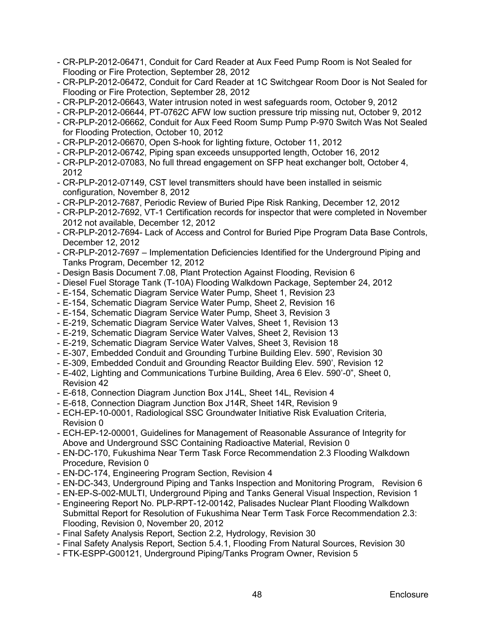- CR-PLP-2012-06471, Conduit for Card Reader at Aux Feed Pump Room is Not Sealed for Flooding or Fire Protection, September 28, 2012
- CR-PLP-2012-06472, Conduit for Card Reader at 1C Switchgear Room Door is Not Sealed for Flooding or Fire Protection, September 28, 2012
- CR-PLP-2012-06643, Water intrusion noted in west safeguards room, October 9, 2012
- CR-PLP-2012-06644, PT-0762C AFW low suction pressure trip missing nut, October 9, 2012
- CR-PLP-2012-06662, Conduit for Aux Feed Room Sump Pump P-970 Switch Was Not Sealed for Flooding Protection, October 10, 2012
- CR-PLP-2012-06670, Open S-hook for lighting fixture, October 11, 2012
- CR-PLP-2012-06742, Piping span exceeds unsupported length, October 16, 2012
- CR-PLP-2012-07083, No full thread engagement on SFP heat exchanger bolt, October 4, 2012
- CR-PLP-2012-07149, CST level transmitters should have been installed in seismic configuration, November 8, 2012
- CR-PLP-2012-7687, Periodic Review of Buried Pipe Risk Ranking, December 12, 2012
- CR-PLP-2012-7692, VT-1 Certification records for inspector that were completed in November 2012 not available, December 12, 2012
- CR-PLP-2012-7694- Lack of Access and Control for Buried Pipe Program Data Base Controls, December 12, 2012
- CR-PLP-2012-7697 Implementation Deficiencies Identified for the Underground Piping and Tanks Program, December 12, 2012
- Design Basis Document 7.08, Plant Protection Against Flooding, Revision 6
- Diesel Fuel Storage Tank (T-10A) Flooding Walkdown Package, September 24, 2012
- E-154, Schematic Diagram Service Water Pump, Sheet 1, Revision 23
- E-154, Schematic Diagram Service Water Pump, Sheet 2, Revision 16
- E-154, Schematic Diagram Service Water Pump, Sheet 3, Revision 3
- E-219, Schematic Diagram Service Water Valves, Sheet 1, Revision 13
- E-219, Schematic Diagram Service Water Valves, Sheet 2, Revision 13
- E-219, Schematic Diagram Service Water Valves, Sheet 3, Revision 18
- E-307, Embedded Conduit and Grounding Turbine Building Elev. 590', Revision 30
- E-309, Embedded Conduit and Grounding Reactor Building Elev. 590', Revision 12
- E-402, Lighting and Communications Turbine Building, Area 6 Elev. 590'-0", Sheet 0, Revision 42
- E-618, Connection Diagram Junction Box J14L, Sheet 14L, Revision 4
- E-618, Connection Diagram Junction Box J14R, Sheet 14R, Revision 9
- ECH-EP-10-0001, Radiological SSC Groundwater Initiative Risk Evaluation Criteria, Revision 0
- ECH-EP-12-00001, Guidelines for Management of Reasonable Assurance of Integrity for Above and Underground SSC Containing Radioactive Material, Revision 0
- EN-DC-170, Fukushima Near Term Task Force Recommendation 2.3 Flooding Walkdown Procedure, Revision 0
- EN-DC-174, Engineering Program Section, Revision 4
- EN-DC-343, Underground Piping and Tanks Inspection and Monitoring Program, Revision 6
- EN-EP-S-002-MULTI, Underground Piping and Tanks General Visual Inspection, Revision 1
- Engineering Report No. PLP-RPT-12-00142, Palisades Nuclear Plant Flooding Walkdown Submittal Report for Resolution of Fukushima Near Term Task Force Recommendation 2.3: Flooding, Revision 0, November 20, 2012
- Final Safety Analysis Report, Section 2.2, Hydrology, Revision 30
- Final Safety Analysis Report, Section 5.4.1, Flooding From Natural Sources, Revision 30
- FTK-ESPP-G00121, Underground Piping/Tanks Program Owner, Revision 5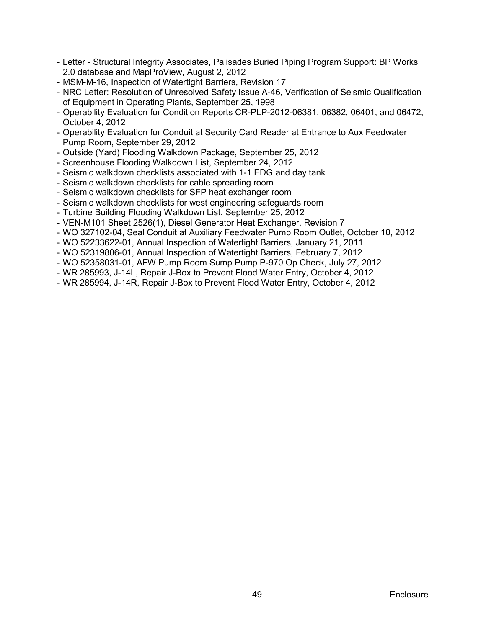- Letter Structural Integrity Associates, Palisades Buried Piping Program Support: BP Works 2.0 database and MapProView, August 2, 2012
- MSM-M-16, Inspection of Watertight Barriers, Revision 17
- NRC Letter: Resolution of Unresolved Safety Issue A-46, Verification of Seismic Qualification of Equipment in Operating Plants, September 25, 1998
- Operability Evaluation for Condition Reports CR-PLP-2012-06381, 06382, 06401, and 06472, October 4, 2012
- Operability Evaluation for Conduit at Security Card Reader at Entrance to Aux Feedwater Pump Room, September 29, 2012
- Outside (Yard) Flooding Walkdown Package, September 25, 2012
- Screenhouse Flooding Walkdown List, September 24, 2012
- Seismic walkdown checklists associated with 1-1 EDG and day tank
- Seismic walkdown checklists for cable spreading room
- Seismic walkdown checklists for SFP heat exchanger room
- Seismic walkdown checklists for west engineering safeguards room
- Turbine Building Flooding Walkdown List, September 25, 2012
- VEN-M101 Sheet 2526(1), Diesel Generator Heat Exchanger, Revision 7
- WO 327102-04, Seal Conduit at Auxiliary Feedwater Pump Room Outlet, October 10, 2012
- WO 52233622-01, Annual Inspection of Watertight Barriers, January 21, 2011
- WO 52319806-01, Annual Inspection of Watertight Barriers, February 7, 2012
- WO 52358031-01, AFW Pump Room Sump Pump P-970 Op Check, July 27, 2012
- WR 285993, J-14L, Repair J-Box to Prevent Flood Water Entry, October 4, 2012
- WR 285994, J-14R, Repair J-Box to Prevent Flood Water Entry, October 4, 2012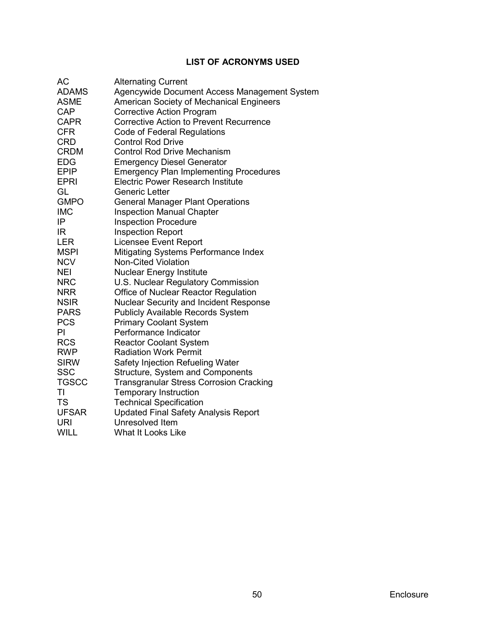# **LIST OF ACRONYMS USED**

<span id="page-53-0"></span>

| AC           | <b>Alternating Current</b>                     |
|--------------|------------------------------------------------|
| <b>ADAMS</b> | Agencywide Document Access Management System   |
| ASME         | American Society of Mechanical Engineers       |
| <b>CAP</b>   | <b>Corrective Action Program</b>               |
| <b>CAPR</b>  | <b>Corrective Action to Prevent Recurrence</b> |
| <b>CFR</b>   | Code of Federal Regulations                    |
| <b>CRD</b>   | <b>Control Rod Drive</b>                       |
| <b>CRDM</b>  | <b>Control Rod Drive Mechanism</b>             |
| <b>EDG</b>   | <b>Emergency Diesel Generator</b>              |
| <b>EPIP</b>  | <b>Emergency Plan Implementing Procedures</b>  |
| <b>EPRI</b>  | <b>Electric Power Research Institute</b>       |
| GL           | Generic Letter                                 |
| <b>GMPO</b>  | <b>General Manager Plant Operations</b>        |
| <b>IMC</b>   | <b>Inspection Manual Chapter</b>               |
| IP           | <b>Inspection Procedure</b>                    |
| IR           | <b>Inspection Report</b>                       |
| <b>LER</b>   | <b>Licensee Event Report</b>                   |
| <b>MSPI</b>  | <b>Mitigating Systems Performance Index</b>    |
| <b>NCV</b>   | <b>Non-Cited Violation</b>                     |
| <b>NEI</b>   | <b>Nuclear Energy Institute</b>                |
| <b>NRC</b>   | U.S. Nuclear Regulatory Commission             |
| <b>NRR</b>   | Office of Nuclear Reactor Regulation           |
| <b>NSIR</b>  | <b>Nuclear Security and Incident Response</b>  |
| <b>PARS</b>  | <b>Publicly Available Records System</b>       |
| <b>PCS</b>   | <b>Primary Coolant System</b>                  |
| PI           | Performance Indicator                          |
| <b>RCS</b>   | <b>Reactor Coolant System</b>                  |
| <b>RWP</b>   | <b>Radiation Work Permit</b>                   |
| <b>SIRW</b>  | Safety Injection Refueling Water               |
| <b>SSC</b>   | Structure, System and Components               |
| <b>TGSCC</b> | <b>Transgranular Stress Corrosion Cracking</b> |
| ΤI           | <b>Temporary Instruction</b>                   |
| <b>TS</b>    | <b>Technical Specification</b>                 |
| <b>UFSAR</b> | <b>Updated Final Safety Analysis Report</b>    |
| URI          | Unresolved Item                                |
| <b>WILL</b>  | <b>What It Looks Like</b>                      |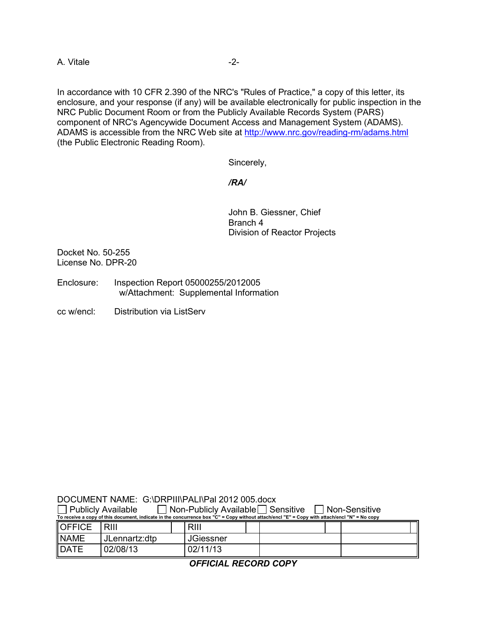A. Vitale  $-2$ -

In accordance with 10 CFR 2.390 of the NRC's "Rules of Practice," a copy of this letter, its enclosure, and your response (if any) will be available electronically for public inspection in the NRC Public Document Room or from the Publicly Available Records System (PARS) component of NRC's Agencywide Document Access and Management System (ADAMS). ADAMS is accessible from the NRC Web site at<http://www.nrc.gov/reading-rm/adams.html> (the Public Electronic Reading Room).

Sincerely,

### */RA/*

John B. Giessner, Chief Branch 4 Division of Reactor Projects

Docket No. 50-255 License No. DPR-20

Enclosure: Inspection Report 05000255/2012005 w/Attachment: Supplemental Information

cc w/encl: Distribution via ListServ

DOCUMENT NAME: G:\DRPIII\PALI\Pal 2012 005.docx  $\Box$  Publicly Available  $\Box$  Non-Publicly Available  $\Box$  Sensitive  $\Box$  Non-Sensitive

| To receive a copy of this document, indicate in the concurrence box "C" = Copy without attach/encl "E" = Copy with attach/encl "N" = No copy |               |                  |  |  |  |  |
|----------------------------------------------------------------------------------------------------------------------------------------------|---------------|------------------|--|--|--|--|
| <b>OFFICE</b>                                                                                                                                | RIII          | <b>RIII</b>      |  |  |  |  |
| <b>NAME</b>                                                                                                                                  | JLennartz:dtp | <b>JGiessner</b> |  |  |  |  |
| <b>DATE</b>                                                                                                                                  | 02/08/13      | 02/11/13         |  |  |  |  |

*OFFICIAL RECORD COPY*